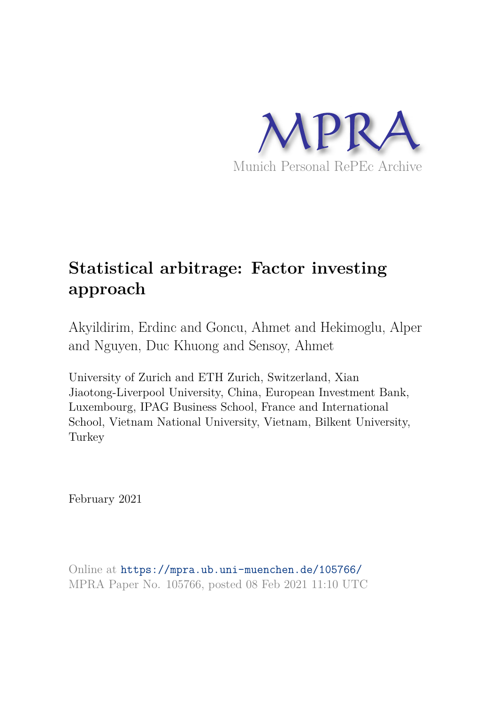

# **Statistical arbitrage: Factor investing approach**

Akyildirim, Erdinc and Goncu, Ahmet and Hekimoglu, Alper and Nguyen, Duc Khuong and Sensoy, Ahmet

University of Zurich and ETH Zurich, Switzerland, Xian Jiaotong-Liverpool University, China, European Investment Bank, Luxembourg, IPAG Business School, France and International School, Vietnam National University, Vietnam, Bilkent University, Turkey

February 2021

Online at https://mpra.ub.uni-muenchen.de/105766/ MPRA Paper No. 105766, posted 08 Feb 2021 11:10 UTC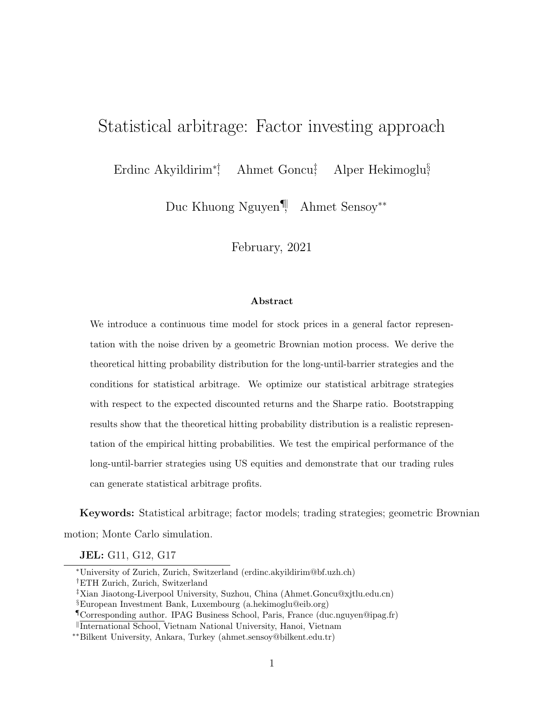# Statistical arbitrage: Factor investing approach

Erdinc Akyildirim<sup>\*</sup>; <sup>†</sup> Ahmet Goncu<sup>‡</sup> Alper Hekimoglu<sup>§</sup>

Duc Khuong Nguyen<sup>¶</sup>, Ahmet Sensoy<sup>\*\*</sup>

February, 2021

#### Abstract

<span id="page-1-0"></span>We introduce a continuous time model for stock prices in a general factor representation with the noise driven by a geometric Brownian motion process. We derive the theoretical hitting probability distribution for the long-until-barrier strategies and the conditions for statistical arbitrage. We optimize our statistical arbitrage strategies with respect to the expected discounted returns and the Sharpe ratio. Bootstrapping results show that the theoretical hitting probability distribution is a realistic representation of the empirical hitting probabilities. We test the empirical performance of the long-until-barrier strategies using US equities and demonstrate that our trading rules can generate statistical arbitrage profits.

Keywords: Statistical arbitrage; factor models; trading strategies; geometric Brownian motion; Monte Carlo simulation.

JEL: G11, G12, G17

<sup>⇤</sup>University of Zurich, Zurich, Switzerland (erdinc.akyildirim@bf.uzh.ch) †ETH Zurich, Zurich, Switzerland

<sup>‡</sup>Xian Jiaotong-Liverpool University, Suzhou, China (Ahmet.Goncu@xjtlu.edu.cn)

<sup>§</sup>European Investment Bank, Luxembourg (a.hekimoglu@eib.org)

<sup>¶</sup>Corresponding author. IPAG Business School, Paris, France (duc.nguyen@ipag.fr)

k International School, Vietnam National University, Hanoi, Vietnam

<sup>⇤⇤</sup>Bilkent University, Ankara, Turkey (ahmet.sensoy@bilkent.edu.tr)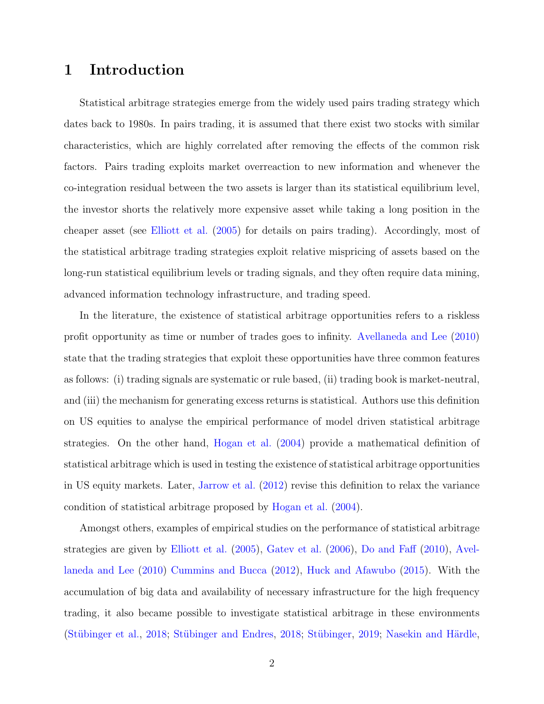# 1 Introduction

Statistical arbitrage strategies emerge from the widely used pairs trading strategy which dates back to 1980s. In pairs trading, it is assumed that there exist two stocks with similar characteristics, which are highly correlated after removing the effects of the common risk factors. Pairs trading exploits market overreaction to new information and whenever the co-integration residual between the two assets is larger than its statistical equilibrium level, the investor shorts the relatively more expensive asset while taking a long position in the cheaper asset (see [Elliott et al.](#page-27-0) [\(2005\)](#page-27-0) for details on pairs trading). Accordingly, most of the statistical arbitrage trading strategies exploit relative mispricing of assets based on the long-run statistical equilibrium levels or trading signals, and they often require data mining, advanced information technology infrastructure, and trading speed.

In the literature, the existence of statistical arbitrage opportunities refers to a riskless profit opportunity as time or number of trades goes to infinity. [Avellaneda and Lee](#page-26-0) [\(2010\)](#page-26-0) state that the trading strategies that exploit these opportunities have three common features as follows: (i) trading signals are systematic or rule based, (ii) trading book is market-neutral, and (iii) the mechanism for generating excess returns is statistical. Authors use this definition on US equities to analyse the empirical performance of model driven statistical arbitrage strategies. On the other hand, [Hogan et al.](#page-27-1) [\(2004\)](#page-27-1) provide a mathematical definition of statistical arbitrage which is used in testing the existence of statistical arbitrage opportunities in US equity markets. Later, [Jarrow et al.](#page-28-0) [\(2012\)](#page-28-0) revise this definition to relax the variance condition of statistical arbitrage proposed by [Hogan et al.](#page-27-1) [\(2004\)](#page-27-1).

Amongst others, examples of empirical studies on the performance of statistical arbitrage strategies are given by [Elliott et al.](#page-27-0) [\(2005\)](#page-27-0), [Gatev et al.](#page-27-2) [\(2006\)](#page-27-2), [Do and Fa](#page-27-3)ff [\(2010\)](#page-27-3), [Avel](#page-26-0)[laneda and Lee](#page-26-0) [\(2010\)](#page-26-0) [Cummins and Bucca](#page-27-4) [\(2012\)](#page-27-4), [Huck and Afawubo](#page-28-1) [\(2015\)](#page-28-1). With the accumulation of big data and availability of necessary infrastructure for the high frequency trading, it also became possible to investigate statistical arbitrage in these environments (Stübinger et al., [2018;](#page-29-1) Stübinger and Endres, 2018; Stübinger, [2019;](#page-28-2) Nasekin and Härdle,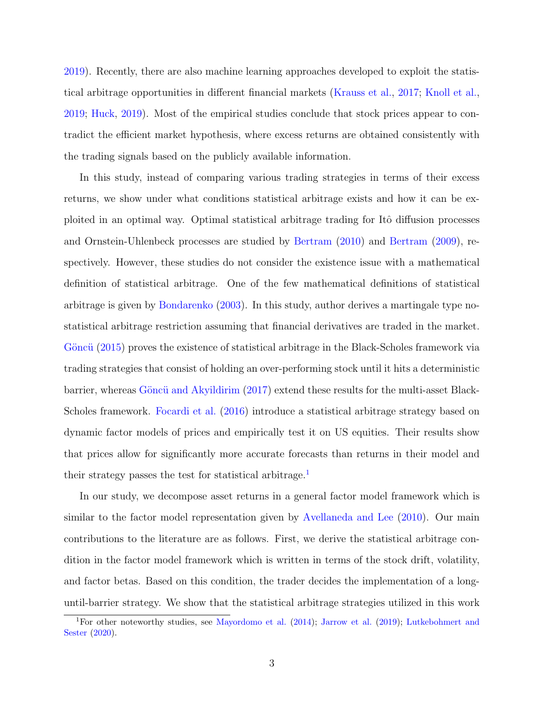[2019\)](#page-28-3). Recently, there are also machine learning approaches developed to exploit the statistical arbitrage opportunities in different financial markets [\(Krauss et al.,](#page-28-4) [2017;](#page-28-4) [Knoll et al.,](#page-28-5) [2019;](#page-28-5) [Huck,](#page-28-6) [2019\)](#page-28-6). Most of the empirical studies conclude that stock prices appear to contradict the efficient market hypothesis, where excess returns are obtained consistently with the trading signals based on the publicly available information.

In this study, instead of comparing various trading strategies in terms of their excess returns, we show under what conditions statistical arbitrage exists and how it can be exploited in an optimal way. Optimal statistical arbitrage trading for Itô diffusion processes and Ornstein-Uhlenbeck processes are studied by [Bertram](#page-27-5) [\(2010\)](#page-27-5) and [Bertram](#page-26-1) [\(2009\)](#page-26-1), respectively. However, these studies do not consider the existence issue with a mathematical definition of statistical arbitrage. One of the few mathematical definitions of statistical arbitrage is given by [Bondarenko](#page-27-6) [\(2003\)](#page-27-6). In this study, author derives a martingale type nostatistical arbitrage restriction assuming that financial derivatives are traded in the market. Göncü [\(2015\)](#page-27-7) proves the existence of statistical arbitrage in the Black-Scholes framework via trading strategies that consist of holding an over-performing stock until it hits a deterministic barrier, whereas Göncü and Akyildirim [\(2017\)](#page-27-8) extend these results for the multi-asset Black-Scholes framework. [Focardi et al.](#page-27-9) [\(2016\)](#page-27-9) introduce a statistical arbitrage strategy based on dynamic factor models of prices and empirically test it on US equities. Their results show that prices allow for significantly more accurate forecasts than returns in their model and their strategy passes the test for statistical arbitrage.<sup>[1](#page-3-0)</sup>

In our study, we decompose asset returns in a general factor model framework which is similar to the factor model representation given by [Avellaneda and Lee](#page-26-0) [\(2010\)](#page-26-0). Our main contributions to the literature are as follows. First, we derive the statistical arbitrage condition in the factor model framework which is written in terms of the stock drift, volatility, and factor betas. Based on this condition, the trader decides the implementation of a longuntil-barrier strategy. We show that the statistical arbitrage strategies utilized in this work

<span id="page-3-0"></span><sup>&</sup>lt;sup>1</sup>For other noteworthy studies, see [Mayordomo et al.](#page-28-7) [\(2014\)](#page-28-7); [Jarrow et al.](#page-28-8) [\(2019\)](#page-28-8); [Lutkebohmert and](#page-28-9) [Sester](#page-28-9) [\(2020\)](#page-28-9).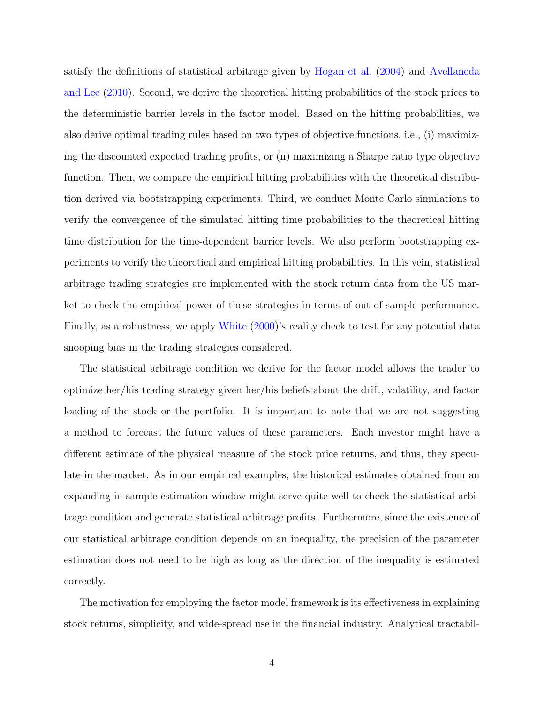satisfy the definitions of statistical arbitrage given by [Hogan et al.](#page-27-1) [\(2004\)](#page-27-1) and [Avellaneda](#page-26-0) [and Lee](#page-26-0) [\(2010\)](#page-26-0). Second, we derive the theoretical hitting probabilities of the stock prices to the deterministic barrier levels in the factor model. Based on the hitting probabilities, we also derive optimal trading rules based on two types of objective functions, i.e., (i) maximizing the discounted expected trading profits, or (ii) maximizing a Sharpe ratio type objective function. Then, we compare the empirical hitting probabilities with the theoretical distribution derived via bootstrapping experiments. Third, we conduct Monte Carlo simulations to verify the convergence of the simulated hitting time probabilities to the theoretical hitting time distribution for the time-dependent barrier levels. We also perform bootstrapping experiments to verify the theoretical and empirical hitting probabilities. In this vein, statistical arbitrage trading strategies are implemented with the stock return data from the US market to check the empirical power of these strategies in terms of out-of-sample performance. Finally, as a robustness, we apply [White](#page-29-2) [\(2000\)](#page-29-2)'s reality check to test for any potential data snooping bias in the trading strategies considered.

The statistical arbitrage condition we derive for the factor model allows the trader to optimize her/his trading strategy given her/his beliefs about the drift, volatility, and factor loading of the stock or the portfolio. It is important to note that we are not suggesting a method to forecast the future values of these parameters. Each investor might have a different estimate of the physical measure of the stock price returns, and thus, they speculate in the market. As in our empirical examples, the historical estimates obtained from an expanding in-sample estimation window might serve quite well to check the statistical arbitrage condition and generate statistical arbitrage profits. Furthermore, since the existence of our statistical arbitrage condition depends on an inequality, the precision of the parameter estimation does not need to be high as long as the direction of the inequality is estimated correctly.

The motivation for employing the factor model framework is its effectiveness in explaining stock returns, simplicity, and wide-spread use in the financial industry. Analytical tractabil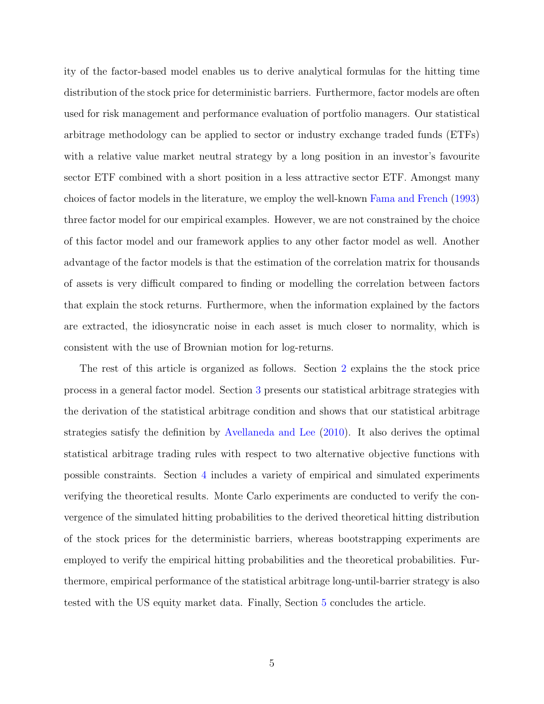ity of the factor-based model enables us to derive analytical formulas for the hitting time distribution of the stock price for deterministic barriers. Furthermore, factor models are often used for risk management and performance evaluation of portfolio managers. Our statistical arbitrage methodology can be applied to sector or industry exchange traded funds (ETFs) with a relative value market neutral strategy by a long position in an investor's favourite sector ETF combined with a short position in a less attractive sector ETF. Amongst many choices of factor models in the literature, we employ the well-known [Fama and French](#page-27-10) [\(1993\)](#page-27-10) three factor model for our empirical examples. However, we are not constrained by the choice of this factor model and our framework applies to any other factor model as well. Another advantage of the factor models is that the estimation of the correlation matrix for thousands of assets is very difficult compared to finding or modelling the correlation between factors that explain the stock returns. Furthermore, when the information explained by the factors are extracted, the idiosyncratic noise in each asset is much closer to normality, which is consistent with the use of Brownian motion for log-returns.

The rest of this article is organized as follows. Section [2](#page-6-0) explains the the stock price process in a general factor model. Section [3](#page-8-0) presents our statistical arbitrage strategies with the derivation of the statistical arbitrage condition and shows that our statistical arbitrage strategies satisfy the definition by [Avellaneda and Lee](#page-26-0) [\(2010\)](#page-26-0). It also derives the optimal statistical arbitrage trading rules with respect to two alternative objective functions with possible constraints. Section [4](#page-16-0) includes a variety of empirical and simulated experiments verifying the theoretical results. Monte Carlo experiments are conducted to verify the convergence of the simulated hitting probabilities to the derived theoretical hitting distribution of the stock prices for the deterministic barriers, whereas bootstrapping experiments are employed to verify the empirical hitting probabilities and the theoretical probabilities. Furthermore, empirical performance of the statistical arbitrage long-until-barrier strategy is also tested with the US equity market data. Finally, Section [5](#page-25-0) concludes the article.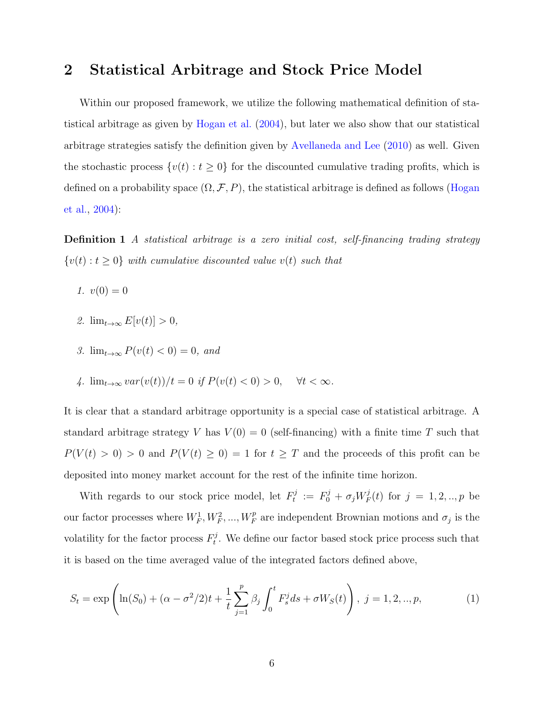# <span id="page-6-0"></span>2 Statistical Arbitrage and Stock Price Model

Within our proposed framework, we utilize the following mathematical definition of statistical arbitrage as given by [Hogan et al.](#page-27-1) [\(2004\)](#page-27-1), but later we also show that our statistical arbitrage strategies satisfy the definition given by [Avellaneda and Lee](#page-26-0) [\(2010\)](#page-26-0) as well. Given the stochastic process  $\{v(t): t \geq 0\}$  for the discounted cumulative trading profits, which is defined on a probability space  $(\Omega, \mathcal{F}, P)$ , the statistical arbitrage is defined as follows [\(Hogan](#page-27-1) [et al.,](#page-27-1) [2004\)](#page-27-1):

<span id="page-6-1"></span>Definition 1 A statistical arbitrage is a zero initial cost, self-financing trading strategy  $\{v(t): t \geq 0\}$  with cumulative discounted value  $v(t)$  such that

- 1.  $v(0) = 0$
- 2.  $\lim_{t\to\infty} E[v(t)] > 0$ ,
- 3.  $\lim_{t\to\infty} P(v(t) < 0) = 0$ , and
- 4.  $\lim_{t\to\infty} var(v(t))/t = 0$  if  $P(v(t) < 0) > 0$ ,  $\forall t < \infty$ .

It is clear that a standard arbitrage opportunity is a special case of statistical arbitrage. A standard arbitrage strategy V has  $V(0) = 0$  (self-financing) with a finite time T such that  $P(V(t) > 0) > 0$  and  $P(V(t) \ge 0) = 1$  for  $t \ge T$  and the proceeds of this profit can be deposited into money market account for the rest of the infinite time horizon.

With regards to our stock price model, let  $F_t^j$  $t^j \ := \ F_0^j + \sigma_j W^j_F$  $f_F^j(t)$  for  $j = 1, 2, ..., p$  be our factor processes where  $W_F^1, W_F^2, ..., W_F^p$  are independent Brownian motions and  $\sigma_j$  is the volatility for the factor process  $F_t^j$  $t<sub>t</sub>$ . We define our factor based stock price process such that it is based on the time averaged value of the integrated factors defined above,

<span id="page-6-2"></span>
$$
S_t = \exp\left(\ln(S_0) + (\alpha - \sigma^2/2)t + \frac{1}{t} \sum_{j=1}^p \beta_j \int_0^t F_s^j ds + \sigma W_S(t)\right), \ j = 1, 2, ..., p,
$$
 (1)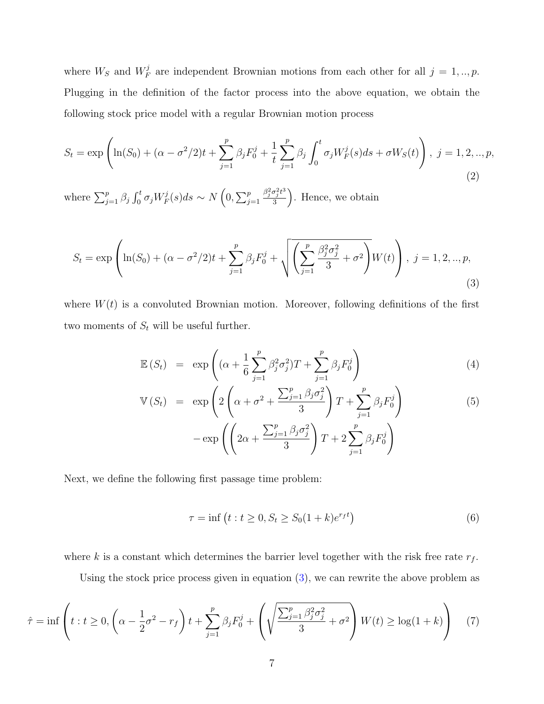where  $W_S$  and  $W_F^j$  $F_F^j$  are independent Brownian motions from each other for all  $j = 1, ..., p$ . Plugging in the definition of the factor process into the above equation, we obtain the following stock price model with a regular Brownian motion process

$$
S_t = \exp\left(\ln(S_0) + (\alpha - \sigma^2/2)t + \sum_{j=1}^p \beta_j F_0^j + \frac{1}{t} \sum_{j=1}^p \beta_j \int_0^t \sigma_j W_F^j(s) ds + \sigma W_S(t)\right), \ j = 1, 2, ..., p,
$$
\n(2)

where  $\sum_{j=1}^p \beta_j \int_0^t \sigma_j W_F^j$  $\frac{f^j}{F}(s)ds \sim N\left(0, \sum_{j=1}^p \right)$  $\beta_j^2 \sigma_j^2 t^3$ 3 ⌘ . Hence, we obtain

<span id="page-7-0"></span>
$$
S_t = \exp\left(\ln(S_0) + (\alpha - \sigma^2/2)t + \sum_{j=1}^p \beta_j F_0^j + \sqrt{\left(\sum_{j=1}^p \frac{\beta_j^2 \sigma_j^2}{3} + \sigma^2\right)} W(t)\right), \ j = 1, 2, ..., p,
$$
\n(3)

where  $W(t)$  is a convoluted Brownian motion. Moreover, following definitions of the first two moments of  $S_t$  will be useful further.

<span id="page-7-1"></span>
$$
\mathbb{E}(S_t) = \exp\left((\alpha + \frac{1}{6}\sum_{j=1}^p \beta_j^2 \sigma_j^2)T + \sum_{j=1}^p \beta_j F_0^j\right)
$$
\n(4)

$$
\mathbb{V}(S_t) = \exp\left(2\left(\alpha + \sigma^2 + \frac{\sum_{j=1}^p \beta_j \sigma_j^2}{3}\right)T + \sum_{j=1}^p \beta_j F_0^j\right) \n- \exp\left(\left(2\alpha + \frac{\sum_{j=1}^p \beta_j \sigma_j^2}{3}\right)T + 2\sum_{j=1}^p \beta_j F_0^j\right)
$$
\n(5)

Next, we define the following first passage time problem:

<span id="page-7-2"></span>
$$
\tau = \inf \left( t : t \ge 0, S_t \ge S_0 (1 + k) e^{r_f t} \right) \tag{6}
$$

where k is a constant which determines the barrier level together with the risk free rate  $r_f$ .

Using the stock price process given in equation [\(3\)](#page-7-0), we can rewrite the above problem as

$$
\hat{\tau} = \inf \left( t : t \ge 0, \left( \alpha - \frac{1}{2} \sigma^2 - r_f \right) t + \sum_{j=1}^p \beta_j F_0^j + \left( \sqrt{\frac{\sum_{j=1}^p \beta_j^2 \sigma_j^2}{3} + \sigma^2} \right) W(t) \ge \log(1 + k) \right) \tag{7}
$$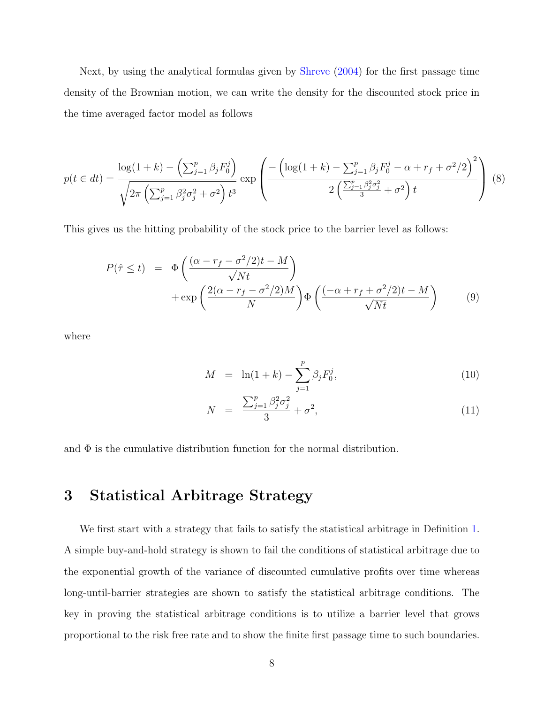Next, by using the analytical formulas given by [Shreve](#page-28-10) [\(2004\)](#page-28-10) for the first passage time density of the Brownian motion, we can write the density for the discounted stock price in the time averaged factor model as follows

$$
p(t \in dt) = \frac{\log(1+k) - \left(\sum_{j=1}^{p} \beta_j F_0^j\right)}{\sqrt{2\pi \left(\sum_{j=1}^{p} \beta_j^2 \sigma_j^2 + \sigma^2\right) t^3}} \exp\left(\frac{-\left(\log(1+k) - \sum_{j=1}^{p} \beta_j F_0^j - \alpha + r_f + \sigma^2/2\right)^2}{2\left(\frac{\sum_{j=1}^{p} \beta_j^2 \sigma_j^2}{3} + \sigma^2\right) t}\right) (8)
$$

This gives us the hitting probability of the stock price to the barrier level as follows:

<span id="page-8-1"></span>
$$
P(\hat{\tau} \le t) = \Phi\left(\frac{(\alpha - r_f - \sigma^2/2)t - M}{\sqrt{Nt}}\right) + \exp\left(\frac{2(\alpha - r_f - \sigma^2/2)M}{N}\right)\Phi\left(\frac{(-\alpha + r_f + \sigma^2/2)t - M}{\sqrt{Nt}}\right) \tag{9}
$$

where

$$
M = \ln(1+k) - \sum_{j=1}^{p} \beta_j F_0^j,
$$
\n(10)

$$
N = \frac{\sum_{j=1}^{p} \beta_j^2 \sigma_j^2}{3} + \sigma^2, \tag{11}
$$

and  $\Phi$  is the cumulative distribution function for the normal distribution.

# <span id="page-8-0"></span>3 Statistical Arbitrage Strategy

We first start with a strategy that fails to satisfy the statistical arbitrage in Definition [1.](#page-6-1) A simple buy-and-hold strategy is shown to fail the conditions of statistical arbitrage due to the exponential growth of the variance of discounted cumulative profits over time whereas long-until-barrier strategies are shown to satisfy the statistical arbitrage conditions. The key in proving the statistical arbitrage conditions is to utilize a barrier level that grows proportional to the risk free rate and to show the finite first passage time to such boundaries.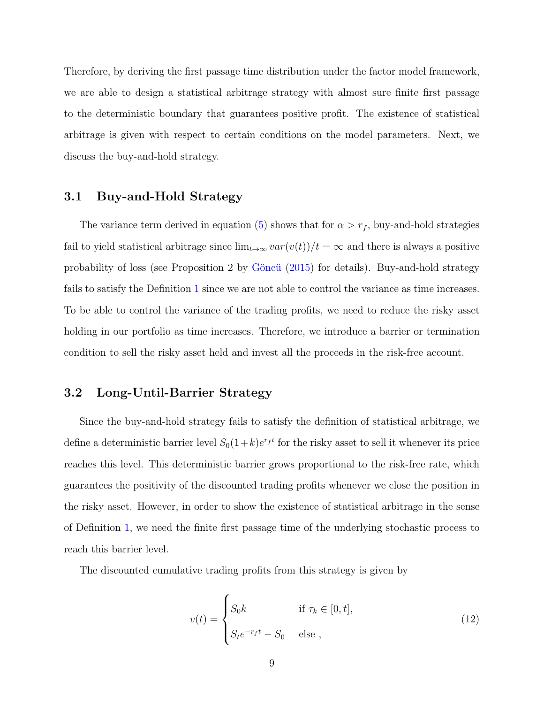Therefore, by deriving the first passage time distribution under the factor model framework, we are able to design a statistical arbitrage strategy with almost sure finite first passage to the deterministic boundary that guarantees positive profit. The existence of statistical arbitrage is given with respect to certain conditions on the model parameters. Next, we discuss the buy-and-hold strategy.

### 3.1 Buy-and-Hold Strategy

The variance term derived in equation [\(5\)](#page-7-1) shows that for  $\alpha > r_f$ , buy-and-hold strategies fail to yield statistical arbitrage since  $\lim_{t\to\infty} var(v(t))/t = \infty$  and there is always a positive probability of loss (see Proposition 2 by Göncü  $(2015)$  for details). Buy-and-hold strategy fails to satisfy the Definition [1](#page-6-1) since we are not able to control the variance as time increases. To be able to control the variance of the trading profits, we need to reduce the risky asset holding in our portfolio as time increases. Therefore, we introduce a barrier or termination condition to sell the risky asset held and invest all the proceeds in the risk-free account.

## 3.2 Long-Until-Barrier Strategy

Since the buy-and-hold strategy fails to satisfy the definition of statistical arbitrage, we define a deterministic barrier level  $S_0(1+k)e^{r_f t}$  for the risky asset to sell it whenever its price reaches this level. This deterministic barrier grows proportional to the risk-free rate, which guarantees the positivity of the discounted trading profits whenever we close the position in the risky asset. However, in order to show the existence of statistical arbitrage in the sense of Definition [1,](#page-6-1) we need the finite first passage time of the underlying stochastic process to reach this barrier level.

The discounted cumulative trading profits from this strategy is given by

$$
v(t) = \begin{cases} S_0 k & \text{if } \tau_k \in [0, t], \\ S_t e^{-r_f t} - S_0 & \text{else }, \end{cases}
$$
 (12)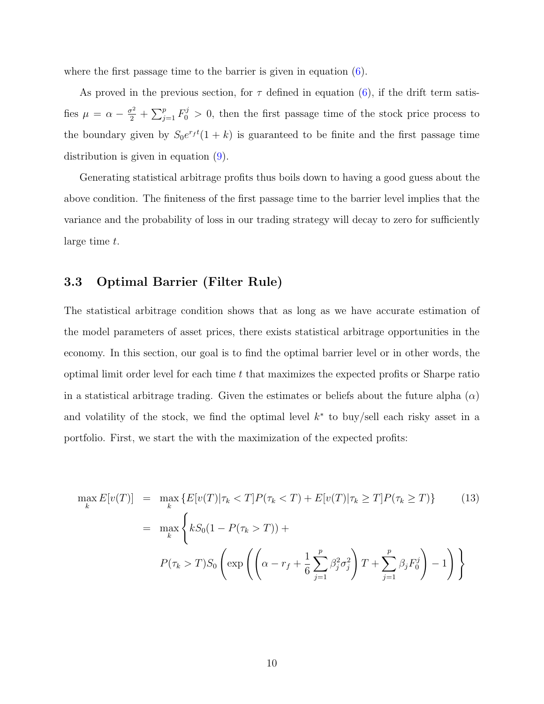where the first passage time to the barrier is given in equation  $(6)$ .

As proved in the previous section, for  $\tau$  defined in equation [\(6\)](#page-7-2), if the drift term satisfies  $\mu = \alpha - \frac{\sigma^2}{2} + \sum_{j=1}^p F_0^j > 0$ , then the first passage time of the stock price process to the boundary given by  $S_0e^{r_f t}(1+k)$  is guaranteed to be finite and the first passage time distribution is given in equation [\(9\)](#page-8-1).

Generating statistical arbitrage profits thus boils down to having a good guess about the above condition. The finiteness of the first passage time to the barrier level implies that the variance and the probability of loss in our trading strategy will decay to zero for sufficiently large time t.

### 3.3 Optimal Barrier (Filter Rule)

The statistical arbitrage condition shows that as long as we have accurate estimation of the model parameters of asset prices, there exists statistical arbitrage opportunities in the economy. In this section, our goal is to find the optimal barrier level or in other words, the optimal limit order level for each time  $t$  that maximizes the expected profits or Sharpe ratio in a statistical arbitrage trading. Given the estimates or beliefs about the future alpha  $(\alpha)$ and volatility of the stock, we find the optimal level  $k^*$  to buy/sell each risky asset in a portfolio. First, we start the with the maximization of the expected profits:

$$
\max_{k} E[v(T)] = \max_{k} \{ E[v(T) | \tau_{k} < T] P(\tau_{k} < T) + E[v(T) | \tau_{k} \ge T] P(\tau_{k} \ge T) \} \tag{13}
$$
\n
$$
= \max_{k} \left\{ k S_{0} (1 - P(\tau_{k} > T)) +
$$
\n
$$
P(\tau_{k} > T) S_{0} \left( \exp \left( \left( \alpha - r_{f} + \frac{1}{6} \sum_{j=1}^{p} \beta_{j}^{2} \sigma_{j}^{2} \right) T + \sum_{j=1}^{p} \beta_{j} F_{0}^{j} \right) - 1 \right) \right\}
$$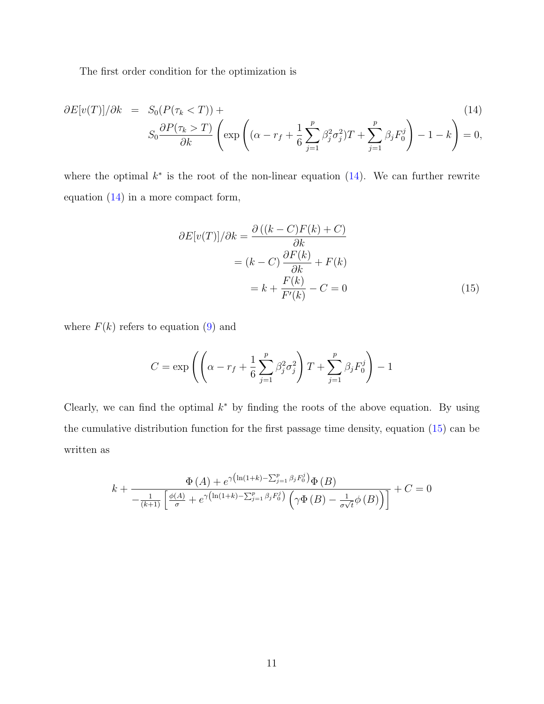The first order condition for the optimization is

<span id="page-11-0"></span>
$$
\partial E[v(T)]/\partial k = S_0(P(\tau_k < T)) +
$$
\n
$$
S_0 \frac{\partial P(\tau_k > T)}{\partial k} \left( \exp\left( (\alpha - r_f + \frac{1}{6} \sum_{j=1}^p \beta_j^2 \sigma_j^2) T + \sum_{j=1}^p \beta_j F_0^j \right) - 1 - k \right) = 0,
$$
\n
$$
(14)
$$

where the optimal  $k^*$  is the root of the non-linear equation  $(14)$ . We can further rewrite equation [\(14\)](#page-11-0) in a more compact form,

<span id="page-11-1"></span>
$$
\partial E[v(T)]/\partial k = \frac{\partial ((k - C)F(k) + C)}{\partial k}
$$

$$
= (k - C)\frac{\partial F(k)}{\partial k} + F(k)
$$

$$
= k + \frac{F(k)}{F'(k)} - C = 0
$$
(15)

where  $F(k)$  refers to equation [\(9\)](#page-8-1) and

$$
C = \exp\left( \left( \alpha - r_f + \frac{1}{6} \sum_{j=1}^p \beta_j^2 \sigma_j^2 \right) T + \sum_{j=1}^p \beta_j F_0^j \right) - 1
$$

Clearly, we can find the optimal  $k^*$  by finding the roots of the above equation. By using the cumulative distribution function for the first passage time density, equation [\(15\)](#page-11-1) can be written as

<span id="page-11-2"></span>
$$
k + \frac{\Phi(A) + e^{\gamma(\ln(1+k) - \sum_{j=1}^{p} \beta_j F_0^j)} \Phi(B)}{-\frac{1}{(k+1)} \left[\frac{\phi(A)}{\sigma} + e^{\gamma(\ln(1+k) - \sum_{j=1}^{p} \beta_j F_0^j)} \left(\gamma \Phi(B) - \frac{1}{\sigma \sqrt{t}} \phi(B)\right)\right]} + C = 0
$$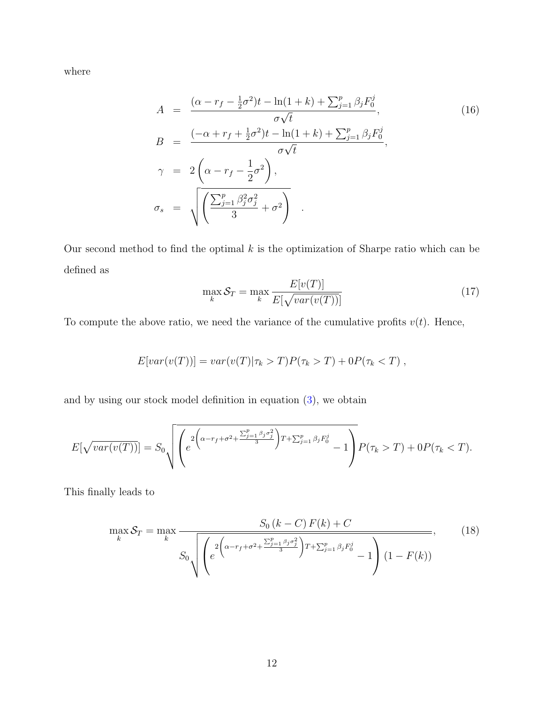where

$$
A = \frac{(\alpha - r_f - \frac{1}{2}\sigma^2)t - \ln(1 + k) + \sum_{j=1}^p \beta_j F_0^j}{\sigma\sqrt{t}},
$$
  
\n
$$
B = \frac{(-\alpha + r_f + \frac{1}{2}\sigma^2)t - \ln(1 + k) + \sum_{j=1}^p \beta_j F_0^j}{\sigma\sqrt{t}},
$$
  
\n
$$
\gamma = 2\left(\alpha - r_f - \frac{1}{2}\sigma^2\right),
$$
  
\n
$$
\sigma_s = \sqrt{\left(\frac{\sum_{j=1}^p \beta_j^2 \sigma_j^2}{3} + \sigma^2\right)}.
$$
\n(16)

Our second method to find the optimal  $k$  is the optimization of Sharpe ratio which can be defined as

$$
\max_{k} \mathcal{S}_T = \max_{k} \frac{E[v(T)]}{E[\sqrt{var(v(T))}]}
$$
(17)

To compute the above ratio, we need the variance of the cumulative profits  $v(t)$ . Hence,

$$
E[var(v(T))] = var(v(T)|\tau_k > T)P(\tau_k > T) + 0P(\tau_k < T),
$$

and by using our stock model definition in equation [\(3\)](#page-1-0), we obtain

$$
E[\sqrt{var(v(T))}] = S_0 \sqrt{\left(e^{2\left(\alpha - r_f + \sigma^2 + \frac{\sum_{j=1}^p \beta_j \sigma_j^2}{3}\right)T + \sum_{j=1}^p \beta_j F_0^j} - 1\right)} P(\tau_k > T) + 0P(\tau_k < T).
$$

This finally leads to

$$
\max_{k} S_{T} = \max_{k} \frac{S_{0} (k - C) F(k) + C}{S_{0} \sqrt{\left(e^{2\left(\alpha - r_{f} + \sigma^{2} + \frac{\sum_{j=1}^{p} \beta_{j} \sigma_{j}^{2}}{3}\right) T + \sum_{j=1}^{p} \beta_{j} F_{0}^{j}} - 1\right) (1 - F(k))}},
$$
(18)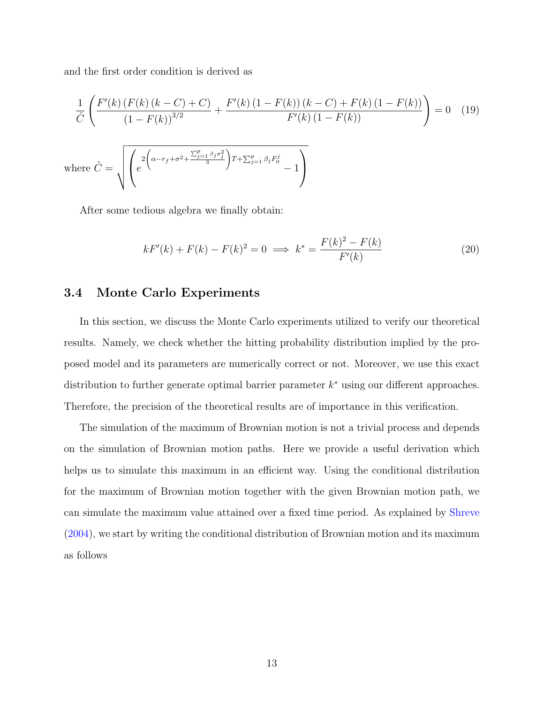and the first order condition is derived as

$$
\frac{1}{\hat{C}} \left( \frac{F'(k) \left( F(k) \left( k - C \right) + C \right)}{\left( 1 - F(k) \right)^{3/2}} + \frac{F'(k) \left( 1 - F(k) \right) \left( k - C \right) + F(k) \left( 1 - F(k) \right)}{F'(k) \left( 1 - F(k) \right)} \right) = 0 \quad (19)
$$
\nwhere 
$$
\hat{C} = \sqrt{\left( e^{2 \left( \alpha - r_f + \sigma^2 + \frac{\sum_{j=1}^p \beta_j \sigma_j^2}{3} \right) T + \sum_{j=1}^p \beta_j F_0^j} - 1 \right)}
$$

After some tedious algebra we finally obtain:

<span id="page-13-0"></span>
$$
kF'(k) + F(k) - F(k)^2 = 0 \implies k^* = \frac{F(k)^2 - F(k)}{F'(k)}
$$
(20)

### 3.4 Monte Carlo Experiments

In this section, we discuss the Monte Carlo experiments utilized to verify our theoretical results. Namely, we check whether the hitting probability distribution implied by the proposed model and its parameters are numerically correct or not. Moreover, we use this exact distribution to further generate optimal barrier parameter  $k^*$  using our different approaches. Therefore, the precision of the theoretical results are of importance in this verification.

The simulation of the maximum of Brownian motion is not a trivial process and depends on the simulation of Brownian motion paths. Here we provide a useful derivation which helps us to simulate this maximum in an efficient way. Using the conditional distribution for the maximum of Brownian motion together with the given Brownian motion path, we can simulate the maximum value attained over a fixed time period. As explained by [Shreve](#page-28-10) [\(2004\)](#page-28-10), we start by writing the conditional distribution of Brownian motion and its maximum as follows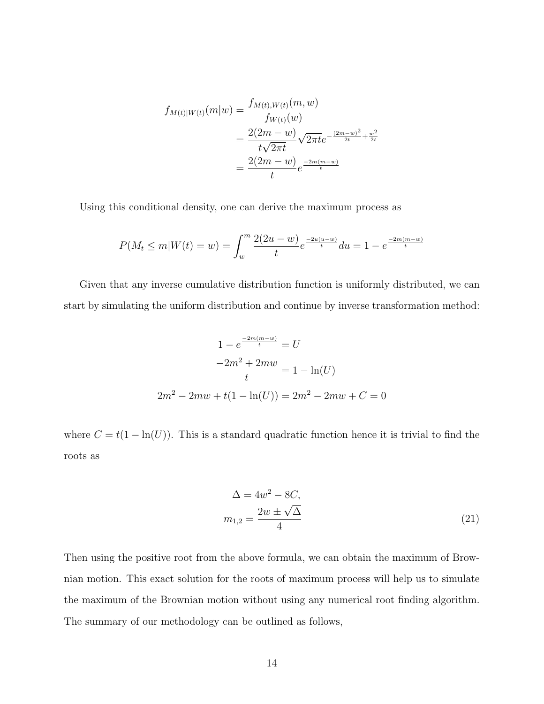$$
f_{M(t)|W(t)}(m|w) = \frac{f_{M(t),W(t)}(m,w)}{f_{W(t)}(w)}
$$
  
= 
$$
\frac{2(2m-w)}{t\sqrt{2\pi t}} \sqrt{2\pi t} e^{-\frac{(2m-w)^2}{2t} + \frac{w^2}{2t}}
$$
  
= 
$$
\frac{2(2m-w)}{t} e^{\frac{-2m(m-w)}{t}}
$$

Using this conditional density, one can derive the maximum process as

$$
P(M_t \le m | W(t) = w) = \int_w^m \frac{2(2u - w)}{t} e^{\frac{-2u(u - w)}{t}} du = 1 - e^{\frac{-2m(m - w)}{t}}
$$

Given that any inverse cumulative distribution function is uniformly distributed, we can start by simulating the uniform distribution and continue by inverse transformation method:

$$
1 - e^{\frac{-2m(m-w)}{t}} = U
$$

$$
\frac{-2m^2 + 2mw}{t} = 1 - \ln(U)
$$

$$
2m^2 - 2mw + t(1 - \ln(U)) = 2m^2 - 2mw + C = 0
$$

where  $C = t(1 - \ln(U))$ . This is a standard quadratic function hence it is trivial to find the roots as

<span id="page-14-0"></span>
$$
\Delta = 4w^2 - 8C, \nm_{1,2} = \frac{2w \pm \sqrt{\Delta}}{4}
$$
\n(21)

Then using the positive root from the above formula, we can obtain the maximum of Brownian motion. This exact solution for the roots of maximum process will help us to simulate the maximum of the Brownian motion without using any numerical root finding algorithm. The summary of our methodology can be outlined as follows,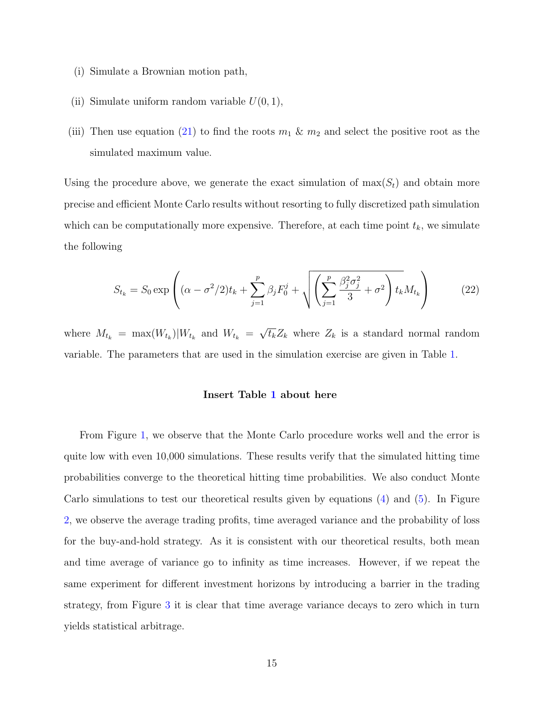- (i) Simulate a Brownian motion path,
- (ii) Simulate uniform random variable  $U(0, 1)$ ,
- (iii) Then use equation [\(21\)](#page-14-0) to find the roots  $m_1 \& m_2$  and select the positive root as the simulated maximum value.

Using the procedure above, we generate the exact simulation of  $\max(S_t)$  and obtain more precise and efficient Monte Carlo results without resorting to fully discretized path simulation which can be computationally more expensive. Therefore, at each time point  $t_k$ , we simulate the following

$$
S_{t_k} = S_0 \exp\left( (\alpha - \sigma^2/2) t_k + \sum_{j=1}^p \beta_j F_0^j + \sqrt{\left( \sum_{j=1}^p \frac{\beta_j^2 \sigma_j^2}{3} + \sigma^2 \right) t_k} M_{t_k} \right) \tag{22}
$$

where  $M_{t_k} = \max(W_{t_k})|W_{t_k}$  and  $W_{t_k} = \sqrt{t_k}Z_k$  where  $Z_k$  is a standard normal random variable. The parameters that are used in the simulation exercise are given in Table [1.](#page-37-0)

#### Insert Table [1](#page-37-0) about here

From Figure [1,](#page-30-0) we observe that the Monte Carlo procedure works well and the error is quite low with even 10,000 simulations. These results verify that the simulated hitting time probabilities converge to the theoretical hitting time probabilities. We also conduct Monte Carlo simulations to test our theoretical results given by equations [\(4\)](#page-7-1) and [\(5\)](#page-7-1). In Figure [2,](#page-31-0) we observe the average trading profits, time averaged variance and the probability of loss for the buy-and-hold strategy. As it is consistent with our theoretical results, both mean and time average of variance go to infinity as time increases. However, if we repeat the same experiment for different investment horizons by introducing a barrier in the trading strategy, from Figure [3](#page-32-0) it is clear that time average variance decays to zero which in turn yields statistical arbitrage.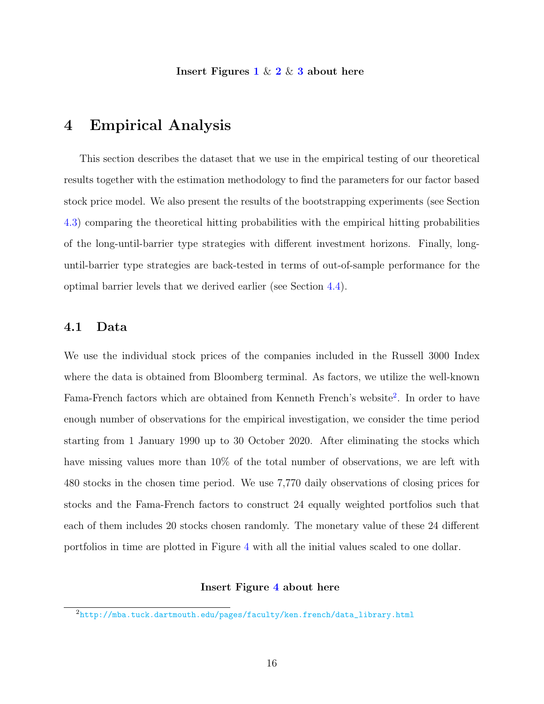Insert Figures  $1 \& 2 \& 3$  $1 \& 2 \& 3$  $1 \& 2 \& 3$  $1 \& 2 \& 3$  $1 \& 2 \& 3$  about here

# <span id="page-16-0"></span>4 Empirical Analysis

This section describes the dataset that we use in the empirical testing of our theoretical results together with the estimation methodology to find the parameters for our factor based stock price model. We also present the results of the bootstrapping experiments (see Section [4.3\)](#page-19-0) comparing the theoretical hitting probabilities with the empirical hitting probabilities of the long-until-barrier type strategies with different investment horizons. Finally, longuntil-barrier type strategies are back-tested in terms of out-of-sample performance for the optimal barrier levels that we derived earlier (see Section [4.4\)](#page-21-0).

### 4.1 Data

We use the individual stock prices of the companies included in the Russell 3000 Index where the data is obtained from Bloomberg terminal. As factors, we utilize the well-known Fama-French factors which are obtained from Kenneth French's website<sup>[2](#page-16-1)</sup>. In order to have enough number of observations for the empirical investigation, we consider the time period starting from 1 January 1990 up to 30 October 2020. After eliminating the stocks which have missing values more than  $10\%$  of the total number of observations, we are left with 480 stocks in the chosen time period. We use 7,770 daily observations of closing prices for stocks and the Fama-French factors to construct 24 equally weighted portfolios such that each of them includes 20 stocks chosen randomly. The monetary value of these 24 different portfolios in time are plotted in Figure [4](#page-33-0) with all the initial values scaled to one dollar.

#### Insert Figure [4](#page-33-0) about here

<span id="page-16-1"></span><sup>2</sup>[http://mba.tuck.dartmouth.edu/pages/faculty/ken.french/data\\_library.html](http://mba.tuck.dartmouth.edu/pages/faculty/ken.french/data_library.html)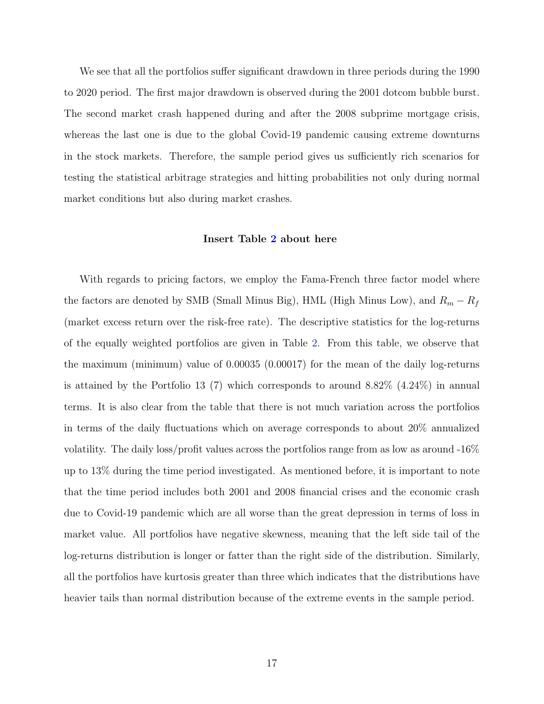We see that all the portfolios suffer significant drawdown in three periods during the 1990 to 2020 period. The first major drawdown is observed during the 2001 dotcom bubble burst. The second market crash happened during and after the 2008 subprime mortgage crisis, whereas the last one is due to the global Covid-19 pandemic causing extreme downturns in the stock markets. Therefore, the sample period gives us sufficiently rich scenarios for testing the statistical arbitrage strategies and hitting probabilities not only during normal market conditions but also during market crashes.

#### Insert Table [2](#page-37-1) about here

With regards to pricing factors, we employ the Fama-French three factor model where the factors are denoted by SMB (Small Minus Big), HML (High Minus Low), and  $R_m - R_f$ (market excess return over the risk-free rate). The descriptive statistics for the log-returns of the equally weighted portfolios are given in Table [2.](#page-37-1) From this table, we observe that the maximum (minimum) value of 0.00035 (0.00017) for the mean of the daily log-returns is attained by the Portfolio 13 (7) which corresponds to around 8.82% (4.24%) in annual terms. It is also clear from the table that there is not much variation across the portfolios in terms of the daily fluctuations which on average corresponds to about 20% annualized volatility. The daily loss/profit values across the portfolios range from as low as around -16% up to 13% during the time period investigated. As mentioned before, it is important to note that the time period includes both 2001 and 2008 financial crises and the economic crash due to Covid-19 pandemic which are all worse than the great depression in terms of loss in market value. All portfolios have negative skewness, meaning that the left side tail of the log-returns distribution is longer or fatter than the right side of the distribution. Similarly, all the portfolios have kurtosis greater than three which indicates that the distributions have heavier tails than normal distribution because of the extreme events in the sample period.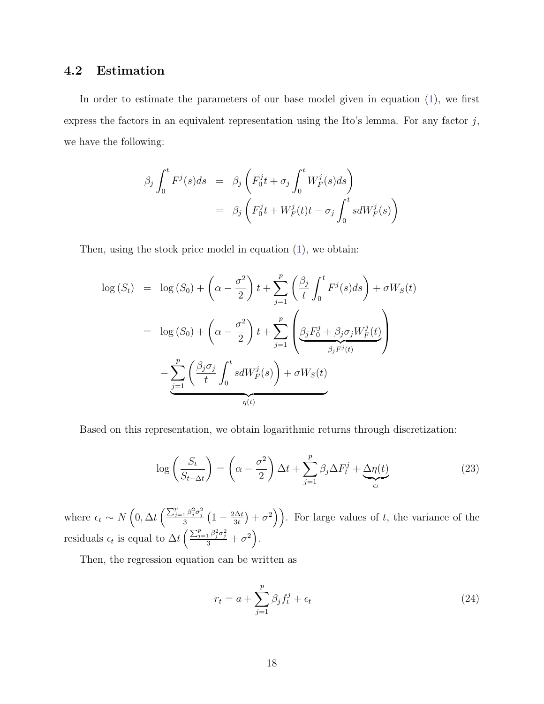# 4.2 Estimation

In order to estimate the parameters of our base model given in equation  $(1)$ , we first express the factors in an equivalent representation using the Ito's lemma. For any factor  $j$ , we have the following:

$$
\beta_j \int_0^t F^j(s)ds = \beta_j \left( F_0^j t + \sigma_j \int_0^t W_F^j(s)ds \right)
$$
  
= 
$$
\beta_j \left( F_0^j t + W_F^j(t) t - \sigma_j \int_0^t s dW_F^j(s) \right)
$$

Then, using the stock price model in equation  $(1)$ , we obtain:

$$
\log (S_t) = \log (S_0) + \left(\alpha - \frac{\sigma^2}{2}\right)t + \sum_{j=1}^p \left(\frac{\beta_j}{t} \int_0^t F^j(s)ds\right) + \sigma W_S(t)
$$

$$
= \log (S_0) + \left(\alpha - \frac{\sigma^2}{2}\right)t + \sum_{j=1}^p \left(\underbrace{\beta_j F_0^j + \beta_j \sigma_j W_F^j(t)}_{\beta_j F^j(t)}\right)
$$

$$
- \sum_{j=1}^p \left(\frac{\beta_j \sigma_j}{t} \int_0^t s dW_F^j(s)\right) + \sigma W_S(t)
$$

Based on this representation, we obtain logarithmic returns through discretization:

$$
\log\left(\frac{S_t}{S_{t-\Delta t}}\right) = \left(\alpha - \frac{\sigma^2}{2}\right)\Delta t + \sum_{j=1}^p \beta_j \Delta F_t^j + \underbrace{\Delta \eta(t)}_{\epsilon_t} \tag{23}
$$

where  $\epsilon_t \sim N\left(0, \Delta t \left(\frac{\sum_{j=1}^p \beta_j^2 \sigma_j^2}{3} \left(1 - \frac{2\Delta t}{3t}\right)\right)\right)$  $\left(\frac{\Delta t}{3t}\right) + \sigma^2$ ). For large values of t, the variance of the residuals  $\epsilon_t$  is equal to  $\Delta t \left( \frac{\sum_{j=1}^p \beta_j^2 \sigma_j^2}{3} + \sigma^2 \right)$ .

Then, the regression equation can be written as

<span id="page-18-0"></span>
$$
r_t = a + \sum_{j=1}^p \beta_j f_t^j + \epsilon_t \tag{24}
$$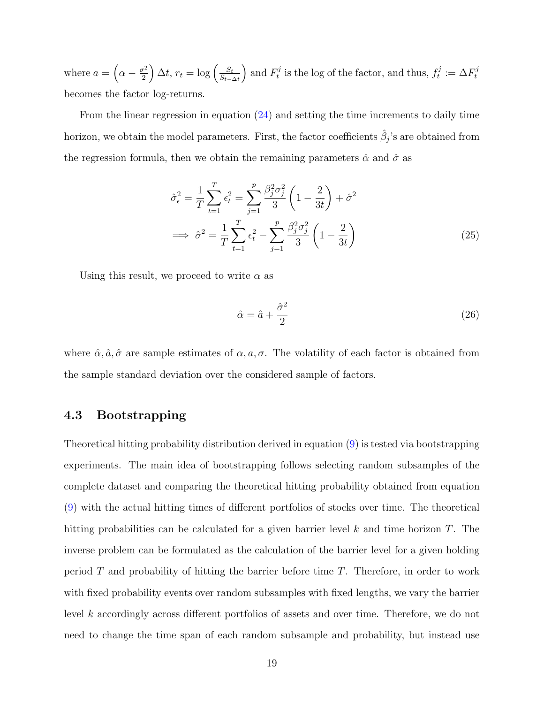where  $a = \left(\alpha - \frac{\sigma^2}{2}\right)$ 2  $\int \Delta t, r_t = \log \left( \frac{S_t}{S_t} \right)$  $S_{t-\Delta t}$ ) and  $F_t^j$  $t_t^{j}$  is the log of the factor, and thus,  $f_t^{j}$  $t_i^j := \Delta F_t^j$ t becomes the factor log-returns.

From the linear regression in equation [\(24\)](#page-18-0) and setting the time increments to daily time horizon, we obtain the model parameters. First, the factor coefficients  $\hat{\beta}_j$ 's are obtained from the regression formula, then we obtain the remaining parameters  $\hat{\alpha}$  and  $\hat{\sigma}$  as

$$
\hat{\sigma}_{\epsilon}^{2} = \frac{1}{T} \sum_{t=1}^{T} \epsilon_{t}^{2} = \sum_{j=1}^{p} \frac{\beta_{j}^{2} \sigma_{j}^{2}}{3} \left( 1 - \frac{2}{3t} \right) + \hat{\sigma}^{2}
$$
  
\n
$$
\implies \hat{\sigma}^{2} = \frac{1}{T} \sum_{t=1}^{T} \epsilon_{t}^{2} - \sum_{j=1}^{p} \frac{\beta_{j}^{2} \sigma_{j}^{2}}{3} \left( 1 - \frac{2}{3t} \right)
$$
\n(25)

Using this result, we proceed to write  $\alpha$  as

$$
\hat{\alpha} = \hat{a} + \frac{\hat{\sigma}^2}{2} \tag{26}
$$

where  $\hat{\alpha}, \hat{a}, \hat{\sigma}$  are sample estimates of  $\alpha, a, \sigma$ . The volatility of each factor is obtained from the sample standard deviation over the considered sample of factors.

## <span id="page-19-0"></span>4.3 Bootstrapping

Theoretical hitting probability distribution derived in equation [\(9\)](#page-8-1) is tested via bootstrapping experiments. The main idea of bootstrapping follows selecting random subsamples of the complete dataset and comparing the theoretical hitting probability obtained from equation [\(9\)](#page-8-1) with the actual hitting times of different portfolios of stocks over time. The theoretical hitting probabilities can be calculated for a given barrier level  $k$  and time horizon  $T$ . The inverse problem can be formulated as the calculation of the barrier level for a given holding period  $T$  and probability of hitting the barrier before time  $T$ . Therefore, in order to work with fixed probability events over random subsamples with fixed lengths, we vary the barrier level k accordingly across different portfolios of assets and over time. Therefore, we do not need to change the time span of each random subsample and probability, but instead use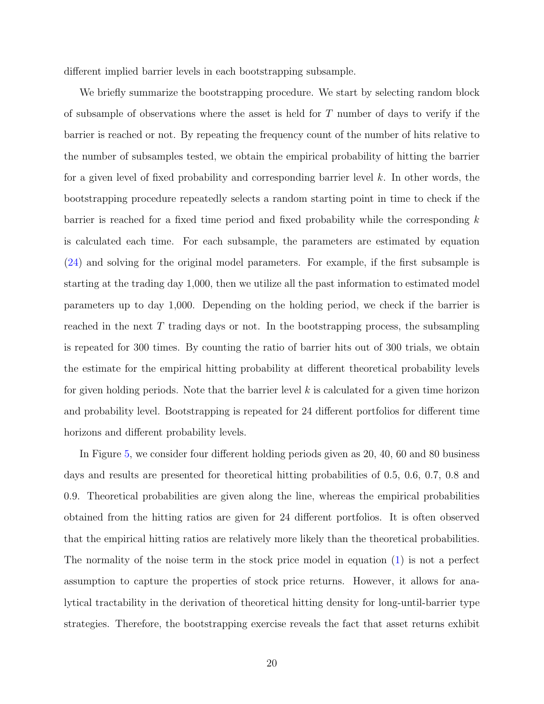different implied barrier levels in each bootstrapping subsample.

We briefly summarize the bootstrapping procedure. We start by selecting random block of subsample of observations where the asset is held for T number of days to verify if the barrier is reached or not. By repeating the frequency count of the number of hits relative to the number of subsamples tested, we obtain the empirical probability of hitting the barrier for a given level of fixed probability and corresponding barrier level  $k$ . In other words, the bootstrapping procedure repeatedly selects a random starting point in time to check if the barrier is reached for a fixed time period and fixed probability while the corresponding  $k$ is calculated each time. For each subsample, the parameters are estimated by equation [\(24\)](#page-18-0) and solving for the original model parameters. For example, if the first subsample is starting at the trading day 1,000, then we utilize all the past information to estimated model parameters up to day 1,000. Depending on the holding period, we check if the barrier is reached in the next T trading days or not. In the bootstrapping process, the subsampling is repeated for 300 times. By counting the ratio of barrier hits out of 300 trials, we obtain the estimate for the empirical hitting probability at different theoretical probability levels for given holding periods. Note that the barrier level  $k$  is calculated for a given time horizon and probability level. Bootstrapping is repeated for 24 different portfolios for different time horizons and different probability levels.

In Figure [5,](#page-34-0) we consider four different holding periods given as 20, 40, 60 and 80 business days and results are presented for theoretical hitting probabilities of 0.5, 0.6, 0.7, 0.8 and 0.9. Theoretical probabilities are given along the line, whereas the empirical probabilities obtained from the hitting ratios are given for 24 different portfolios. It is often observed that the empirical hitting ratios are relatively more likely than the theoretical probabilities. The normality of the noise term in the stock price model in equation [\(1\)](#page-6-2) is not a perfect assumption to capture the properties of stock price returns. However, it allows for analytical tractability in the derivation of theoretical hitting density for long-until-barrier type strategies. Therefore, the bootstrapping exercise reveals the fact that asset returns exhibit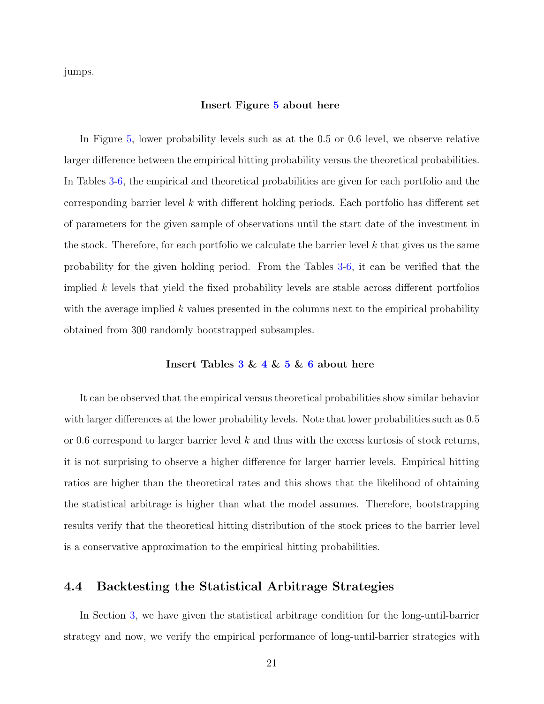jumps.

#### Insert Figure [5](#page-34-0) about here

In Figure [5,](#page-34-0) lower probability levels such as at the 0.5 or 0.6 level, we observe relative larger difference between the empirical hitting probability versus the theoretical probabilities. In Tables [3](#page-38-0)[-6,](#page-41-0) the empirical and theoretical probabilities are given for each portfolio and the corresponding barrier level k with different holding periods. Each portfolio has different set of parameters for the given sample of observations until the start date of the investment in the stock. Therefore, for each portfolio we calculate the barrier level  $k$  that gives us the same probability for the given holding period. From the Tables [3-](#page-38-0)[6,](#page-41-0) it can be verified that the implied  $k$  levels that yield the fixed probability levels are stable across different portfolios with the average implied k values presented in the columns next to the empirical probability obtained from 300 randomly bootstrapped subsamples.

#### Insert Tables  $3 \& 4 \& 5 \& 6$  $3 \& 4 \& 5 \& 6$  $3 \& 4 \& 5 \& 6$  $3 \& 4 \& 5 \& 6$  $3 \& 4 \& 5 \& 6$  $3 \& 4 \& 5 \& 6$  $3 \& 4 \& 5 \& 6$  about here

It can be observed that the empirical versus theoretical probabilities show similar behavior with larger differences at the lower probability levels. Note that lower probabilities such as  $0.5$ or 0.6 correspond to larger barrier level k and thus with the excess kurtosis of stock returns, it is not surprising to observe a higher difference for larger barrier levels. Empirical hitting ratios are higher than the theoretical rates and this shows that the likelihood of obtaining the statistical arbitrage is higher than what the model assumes. Therefore, bootstrapping results verify that the theoretical hitting distribution of the stock prices to the barrier level is a conservative approximation to the empirical hitting probabilities.

### <span id="page-21-0"></span>4.4 Backtesting the Statistical Arbitrage Strategies

In Section [3,](#page-8-0) we have given the statistical arbitrage condition for the long-until-barrier strategy and now, we verify the empirical performance of long-until-barrier strategies with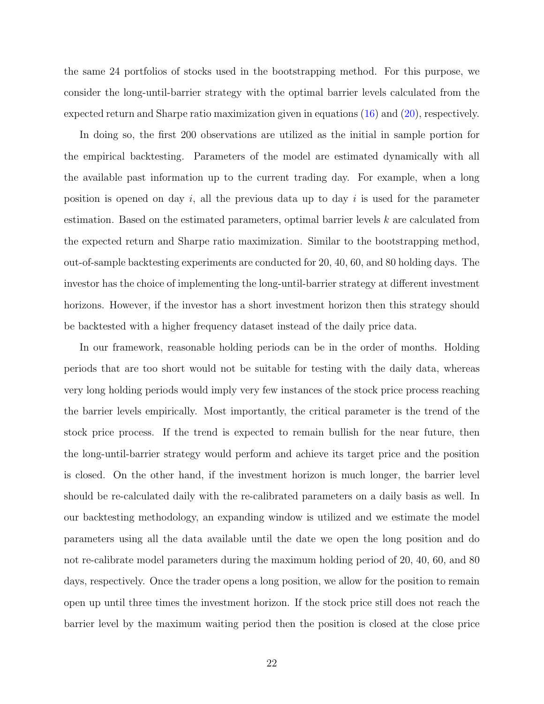the same 24 portfolios of stocks used in the bootstrapping method. For this purpose, we consider the long-until-barrier strategy with the optimal barrier levels calculated from the expected return and Sharpe ratio maximization given in equations [\(16\)](#page-11-2) and [\(20\)](#page-13-0), respectively.

In doing so, the first 200 observations are utilized as the initial in sample portion for the empirical backtesting. Parameters of the model are estimated dynamically with all the available past information up to the current trading day. For example, when a long position is opened on day i, all the previous data up to day i is used for the parameter estimation. Based on the estimated parameters, optimal barrier levels k are calculated from the expected return and Sharpe ratio maximization. Similar to the bootstrapping method, out-of-sample backtesting experiments are conducted for 20, 40, 60, and 80 holding days. The investor has the choice of implementing the long-until-barrier strategy at different investment horizons. However, if the investor has a short investment horizon then this strategy should be backtested with a higher frequency dataset instead of the daily price data.

In our framework, reasonable holding periods can be in the order of months. Holding periods that are too short would not be suitable for testing with the daily data, whereas very long holding periods would imply very few instances of the stock price process reaching the barrier levels empirically. Most importantly, the critical parameter is the trend of the stock price process. If the trend is expected to remain bullish for the near future, then the long-until-barrier strategy would perform and achieve its target price and the position is closed. On the other hand, if the investment horizon is much longer, the barrier level should be re-calculated daily with the re-calibrated parameters on a daily basis as well. In our backtesting methodology, an expanding window is utilized and we estimate the model parameters using all the data available until the date we open the long position and do not re-calibrate model parameters during the maximum holding period of 20, 40, 60, and 80 days, respectively. Once the trader opens a long position, we allow for the position to remain open up until three times the investment horizon. If the stock price still does not reach the barrier level by the maximum waiting period then the position is closed at the close price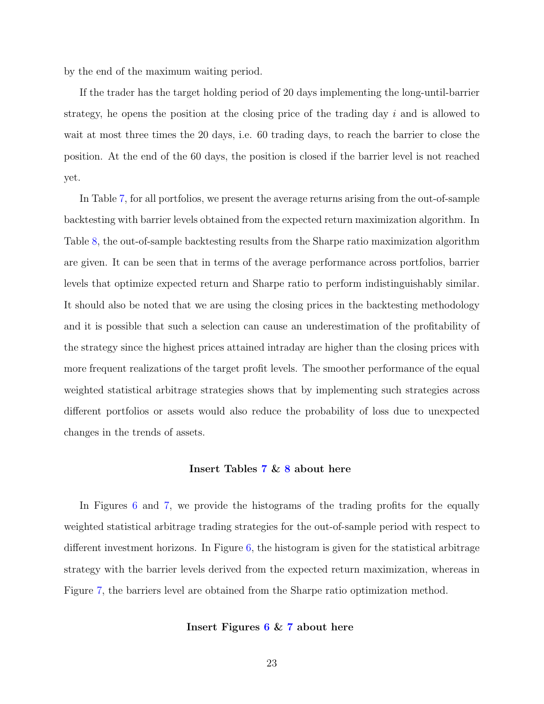by the end of the maximum waiting period.

If the trader has the target holding period of 20 days implementing the long-until-barrier strategy, he opens the position at the closing price of the trading day  $i$  and is allowed to wait at most three times the 20 days, i.e. 60 trading days, to reach the barrier to close the position. At the end of the 60 days, the position is closed if the barrier level is not reached yet.

In Table [7,](#page-42-0) for all portfolios, we present the average returns arising from the out-of-sample backtesting with barrier levels obtained from the expected return maximization algorithm. In Table [8,](#page-43-0) the out-of-sample backtesting results from the Sharpe ratio maximization algorithm are given. It can be seen that in terms of the average performance across portfolios, barrier levels that optimize expected return and Sharpe ratio to perform indistinguishably similar. It should also be noted that we are using the closing prices in the backtesting methodology and it is possible that such a selection can cause an underestimation of the profitability of the strategy since the highest prices attained intraday are higher than the closing prices with more frequent realizations of the target profit levels. The smoother performance of the equal weighted statistical arbitrage strategies shows that by implementing such strategies across different portfolios or assets would also reduce the probability of loss due to unexpected changes in the trends of assets.

#### Insert Tables [7](#page-42-0) & [8](#page-43-0) about here

In Figures [6](#page-35-0) and [7,](#page-36-0) we provide the histograms of the trading profits for the equally weighted statistical arbitrage trading strategies for the out-of-sample period with respect to different investment horizons. In Figure [6,](#page-35-0) the histogram is given for the statistical arbitrage strategy with the barrier levels derived from the expected return maximization, whereas in Figure [7,](#page-36-0) the barriers level are obtained from the Sharpe ratio optimization method.

#### Insert Figures [6](#page-35-0) & [7](#page-36-0) about here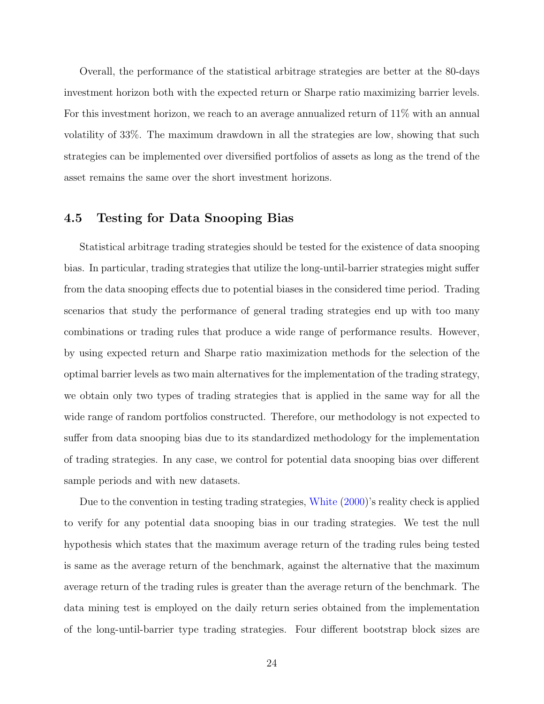Overall, the performance of the statistical arbitrage strategies are better at the 80-days investment horizon both with the expected return or Sharpe ratio maximizing barrier levels. For this investment horizon, we reach to an average annualized return of 11% with an annual volatility of 33%. The maximum drawdown in all the strategies are low, showing that such strategies can be implemented over diversified portfolios of assets as long as the trend of the asset remains the same over the short investment horizons.

### 4.5 Testing for Data Snooping Bias

Statistical arbitrage trading strategies should be tested for the existence of data snooping bias. In particular, trading strategies that utilize the long-until-barrier strategies might suffer from the data snooping effects due to potential biases in the considered time period. Trading scenarios that study the performance of general trading strategies end up with too many combinations or trading rules that produce a wide range of performance results. However, by using expected return and Sharpe ratio maximization methods for the selection of the optimal barrier levels as two main alternatives for the implementation of the trading strategy, we obtain only two types of trading strategies that is applied in the same way for all the wide range of random portfolios constructed. Therefore, our methodology is not expected to suffer from data snooping bias due to its standardized methodology for the implementation of trading strategies. In any case, we control for potential data snooping bias over different sample periods and with new datasets.

Due to the convention in testing trading strategies, [White](#page-29-2) [\(2000\)](#page-29-2)'s reality check is applied to verify for any potential data snooping bias in our trading strategies. We test the null hypothesis which states that the maximum average return of the trading rules being tested is same as the average return of the benchmark, against the alternative that the maximum average return of the trading rules is greater than the average return of the benchmark. The data mining test is employed on the daily return series obtained from the implementation of the long-until-barrier type trading strategies. Four different bootstrap block sizes are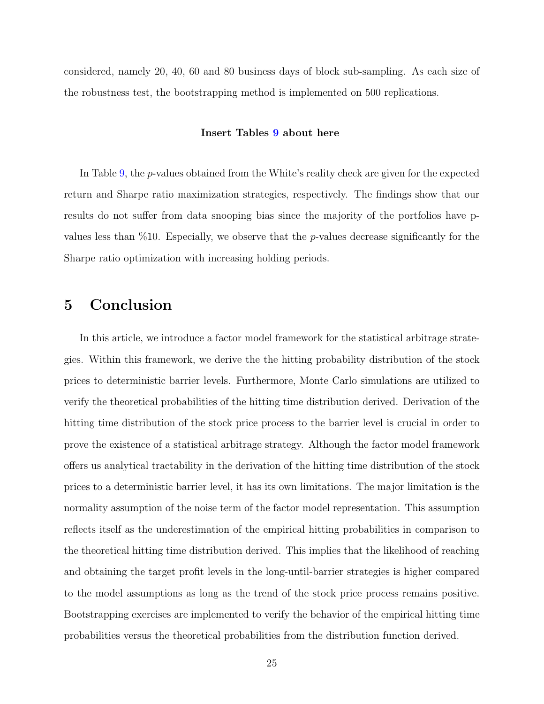considered, namely 20, 40, 60 and 80 business days of block sub-sampling. As each size of the robustness test, the bootstrapping method is implemented on 500 replications.

#### Insert Tables [9](#page-44-0) about here

In Table [9,](#page-44-0) the p-values obtained from the White's reality check are given for the expected return and Sharpe ratio maximization strategies, respectively. The findings show that our results do not suffer from data snooping bias since the majority of the portfolios have pvalues less than %10. Especially, we observe that the p-values decrease significantly for the Sharpe ratio optimization with increasing holding periods.

# <span id="page-25-0"></span>5 Conclusion

In this article, we introduce a factor model framework for the statistical arbitrage strategies. Within this framework, we derive the the hitting probability distribution of the stock prices to deterministic barrier levels. Furthermore, Monte Carlo simulations are utilized to verify the theoretical probabilities of the hitting time distribution derived. Derivation of the hitting time distribution of the stock price process to the barrier level is crucial in order to prove the existence of a statistical arbitrage strategy. Although the factor model framework offers us analytical tractability in the derivation of the hitting time distribution of the stock prices to a deterministic barrier level, it has its own limitations. The major limitation is the normality assumption of the noise term of the factor model representation. This assumption reflects itself as the underestimation of the empirical hitting probabilities in comparison to the theoretical hitting time distribution derived. This implies that the likelihood of reaching and obtaining the target profit levels in the long-until-barrier strategies is higher compared to the model assumptions as long as the trend of the stock price process remains positive. Bootstrapping exercises are implemented to verify the behavior of the empirical hitting time probabilities versus the theoretical probabilities from the distribution function derived.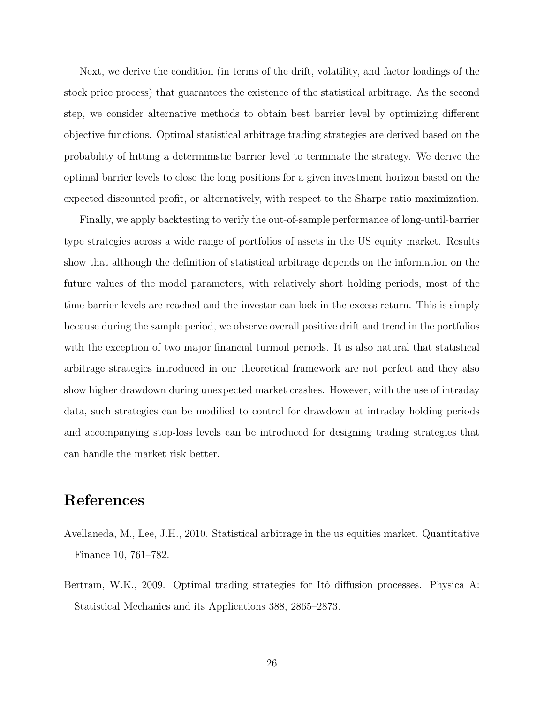Next, we derive the condition (in terms of the drift, volatility, and factor loadings of the stock price process) that guarantees the existence of the statistical arbitrage. As the second step, we consider alternative methods to obtain best barrier level by optimizing different objective functions. Optimal statistical arbitrage trading strategies are derived based on the probability of hitting a deterministic barrier level to terminate the strategy. We derive the optimal barrier levels to close the long positions for a given investment horizon based on the expected discounted profit, or alternatively, with respect to the Sharpe ratio maximization.

Finally, we apply backtesting to verify the out-of-sample performance of long-until-barrier type strategies across a wide range of portfolios of assets in the US equity market. Results show that although the definition of statistical arbitrage depends on the information on the future values of the model parameters, with relatively short holding periods, most of the time barrier levels are reached and the investor can lock in the excess return. This is simply because during the sample period, we observe overall positive drift and trend in the portfolios with the exception of two major financial turmoil periods. It is also natural that statistical arbitrage strategies introduced in our theoretical framework are not perfect and they also show higher drawdown during unexpected market crashes. However, with the use of intraday data, such strategies can be modified to control for drawdown at intraday holding periods and accompanying stop-loss levels can be introduced for designing trading strategies that can handle the market risk better.

# References

- <span id="page-26-0"></span>Avellaneda, M., Lee, J.H., 2010. Statistical arbitrage in the us equities market. Quantitative Finance 10, 761–782.
- <span id="page-26-1"></span>Bertram, W.K., 2009. Optimal trading strategies for Itô diffusion processes. Physica A: Statistical Mechanics and its Applications 388, 2865–2873.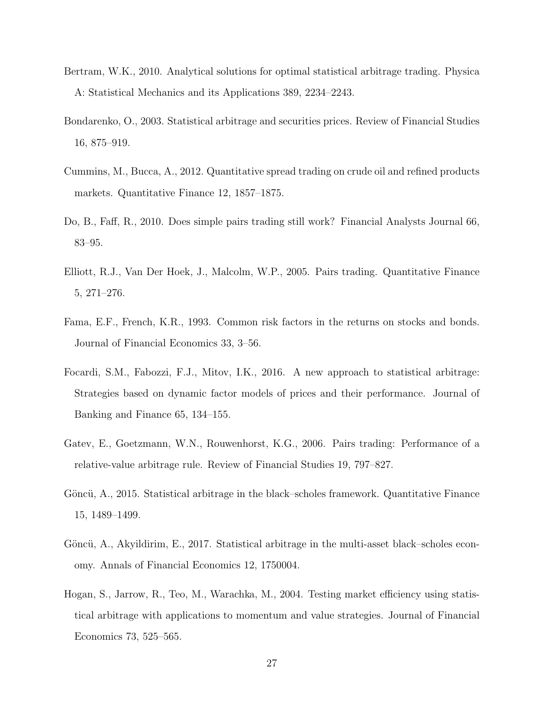- <span id="page-27-5"></span>Bertram, W.K., 2010. Analytical solutions for optimal statistical arbitrage trading. Physica A: Statistical Mechanics and its Applications 389, 2234–2243.
- <span id="page-27-6"></span>Bondarenko, O., 2003. Statistical arbitrage and securities prices. Review of Financial Studies 16, 875–919.
- <span id="page-27-4"></span>Cummins, M., Bucca, A., 2012. Quantitative spread trading on crude oil and refined products markets. Quantitative Finance 12, 1857–1875.
- <span id="page-27-3"></span>Do, B., Faff, R., 2010. Does simple pairs trading still work? Financial Analysts Journal 66, 83–95.
- <span id="page-27-0"></span>Elliott, R.J., Van Der Hoek, J., Malcolm, W.P., 2005. Pairs trading. Quantitative Finance 5, 271–276.
- <span id="page-27-10"></span>Fama, E.F., French, K.R., 1993. Common risk factors in the returns on stocks and bonds. Journal of Financial Economics 33, 3–56.
- <span id="page-27-9"></span>Focardi, S.M., Fabozzi, F.J., Mitov, I.K., 2016. A new approach to statistical arbitrage: Strategies based on dynamic factor models of prices and their performance. Journal of Banking and Finance 65, 134–155.
- <span id="page-27-2"></span>Gatev, E., Goetzmann, W.N., Rouwenhorst, K.G., 2006. Pairs trading: Performance of a relative-value arbitrage rule. Review of Financial Studies 19, 797–827.
- <span id="page-27-7"></span>Göncü, A., 2015. Statistical arbitrage in the black–scholes framework. Quantitative Finance 15, 1489–1499.
- <span id="page-27-8"></span>Göncü, A., Akyildirim, E., 2017. Statistical arbitrage in the multi-asset black–scholes economy. Annals of Financial Economics 12, 1750004.
- <span id="page-27-1"></span>Hogan, S., Jarrow, R., Teo, M., Warachka, M., 2004. Testing market efficiency using statistical arbitrage with applications to momentum and value strategies. Journal of Financial Economics 73, 525–565.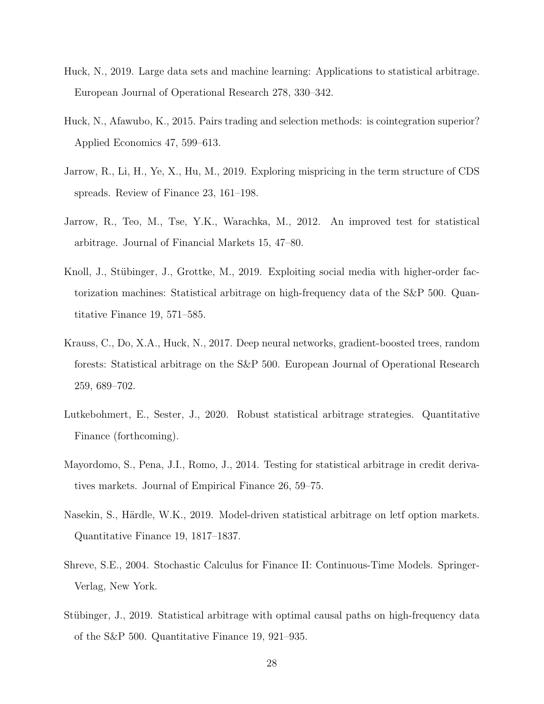- <span id="page-28-6"></span>Huck, N., 2019. Large data sets and machine learning: Applications to statistical arbitrage. European Journal of Operational Research 278, 330–342.
- <span id="page-28-1"></span>Huck, N., Afawubo, K., 2015. Pairs trading and selection methods: is cointegration superior? Applied Economics 47, 599–613.
- <span id="page-28-8"></span>Jarrow, R., Li, H., Ye, X., Hu, M., 2019. Exploring mispricing in the term structure of CDS spreads. Review of Finance 23, 161–198.
- <span id="page-28-0"></span>Jarrow, R., Teo, M., Tse, Y.K., Warachka, M., 2012. An improved test for statistical arbitrage. Journal of Financial Markets 15, 47–80.
- <span id="page-28-5"></span>Knoll, J., Stübinger, J., Grottke, M., 2019. Exploiting social media with higher-order factorization machines: Statistical arbitrage on high-frequency data of the S&P 500. Quantitative Finance 19, 571–585.
- <span id="page-28-4"></span>Krauss, C., Do, X.A., Huck, N., 2017. Deep neural networks, gradient-boosted trees, random forests: Statistical arbitrage on the S&P 500. European Journal of Operational Research 259, 689–702.
- <span id="page-28-9"></span>Lutkebohmert, E., Sester, J., 2020. Robust statistical arbitrage strategies. Quantitative Finance (forthcoming).
- <span id="page-28-7"></span>Mayordomo, S., Pena, J.I., Romo, J., 2014. Testing for statistical arbitrage in credit derivatives markets. Journal of Empirical Finance 26, 59–75.
- <span id="page-28-3"></span>Nasekin, S., Härdle, W.K., 2019. Model-driven statistical arbitrage on letf option markets. Quantitative Finance 19, 1817–1837.
- <span id="page-28-10"></span>Shreve, S.E., 2004. Stochastic Calculus for Finance II: Continuous-Time Models. Springer-Verlag, New York.
- <span id="page-28-2"></span>Stübinger, J., 2019. Statistical arbitrage with optimal causal paths on high-frequency data of the S&P 500. Quantitative Finance 19, 921–935.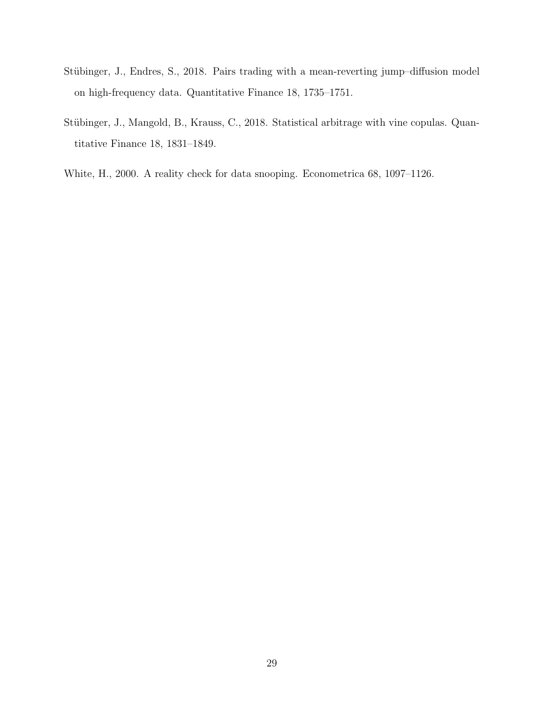- <span id="page-29-1"></span>Stübinger, J., Endres, S., 2018. Pairs trading with a mean-reverting jump-diffusion model on high-frequency data. Quantitative Finance 18, 1735–1751.
- <span id="page-29-0"></span>Stübinger, J., Mangold, B., Krauss, C., 2018. Statistical arbitrage with vine copulas. Quantitative Finance 18, 1831–1849.
- <span id="page-29-2"></span>White, H., 2000. A reality check for data snooping. Econometrica 68, 1097–1126.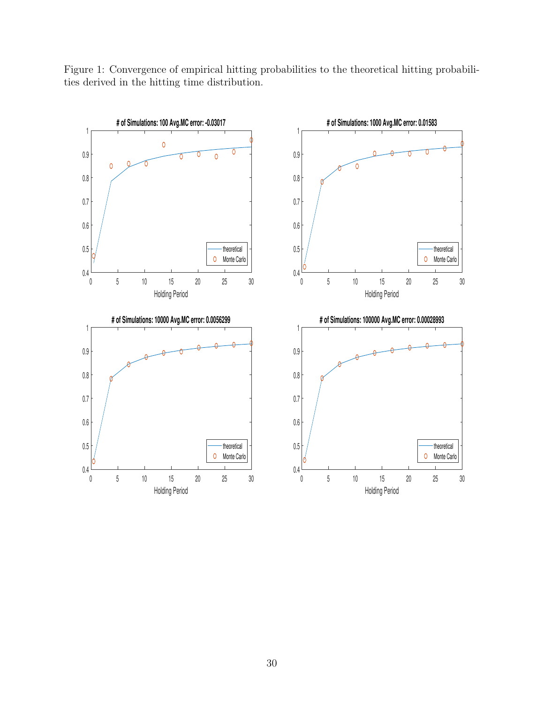<span id="page-30-0"></span>Figure 1: Convergence of empirical hitting probabilities to the theoretical hitting probabilities derived in the hitting time distribution.

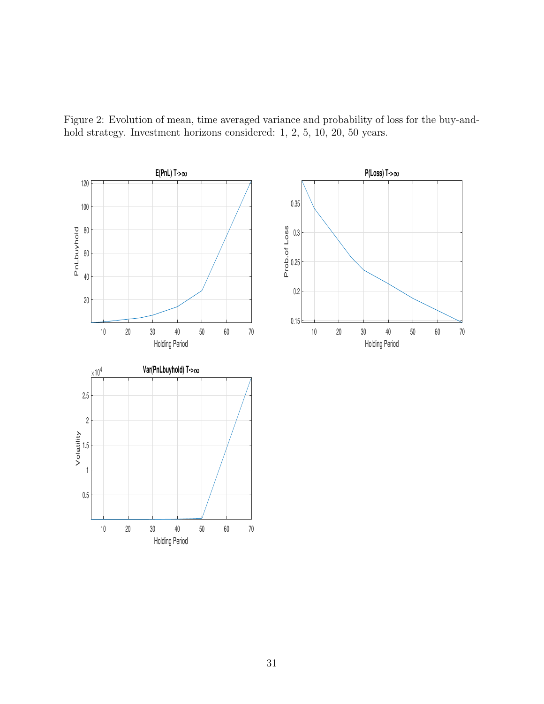<span id="page-31-0"></span>Figure 2: Evolution of mean, time averaged variance and probability of loss for the buy-andhold strategy. Investment horizons considered: 1, 2, 5, 10, 20, 50 years.

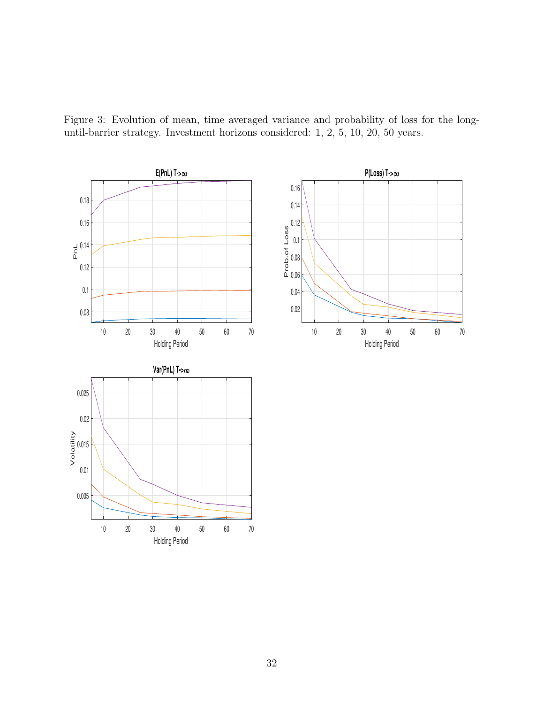<span id="page-32-0"></span>Figure 3: Evolution of mean, time averaged variance and probability of loss for the longuntil-barrier strategy. Investment horizons considered: 1, 2, 5, 10, 20, 50 years.

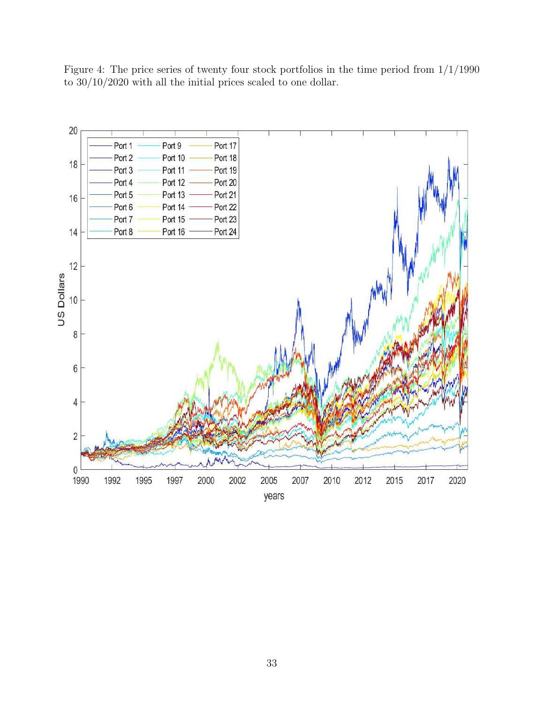<span id="page-33-0"></span>Figure 4: The price series of twenty four stock portfolios in the time period from 1/1/1990 to 30/10/2020 with all the initial prices scaled to one dollar.

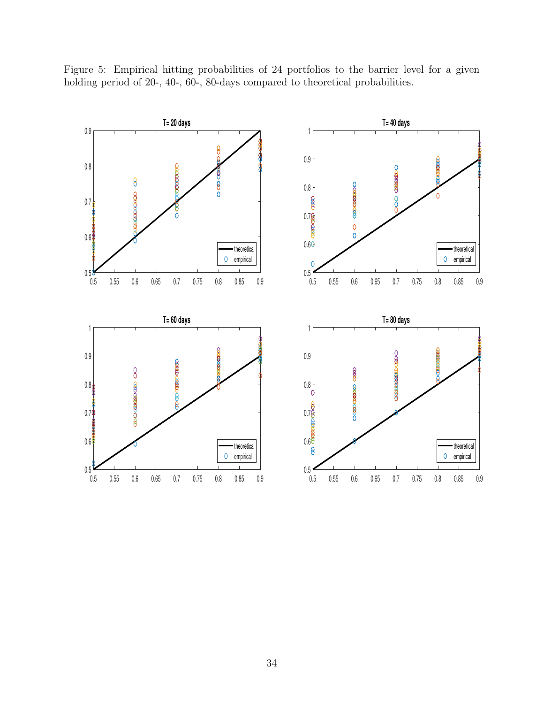

<span id="page-34-0"></span>Figure 5: Empirical hitting probabilities of 24 portfolios to the barrier level for a given holding period of 20-, 40-, 60-, 80-days compared to theoretical probabilities.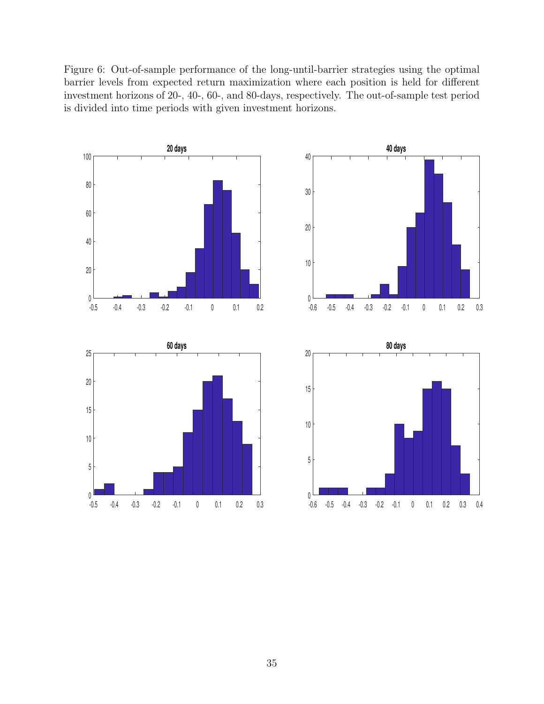<span id="page-35-0"></span>Figure 6: Out-of-sample performance of the long-until-barrier strategies using the optimal barrier levels from expected return maximization where each position is held for different investment horizons of 20-, 40-, 60-, and 80-days, respectively. The out-of-sample test period is divided into time periods with given investment horizons.

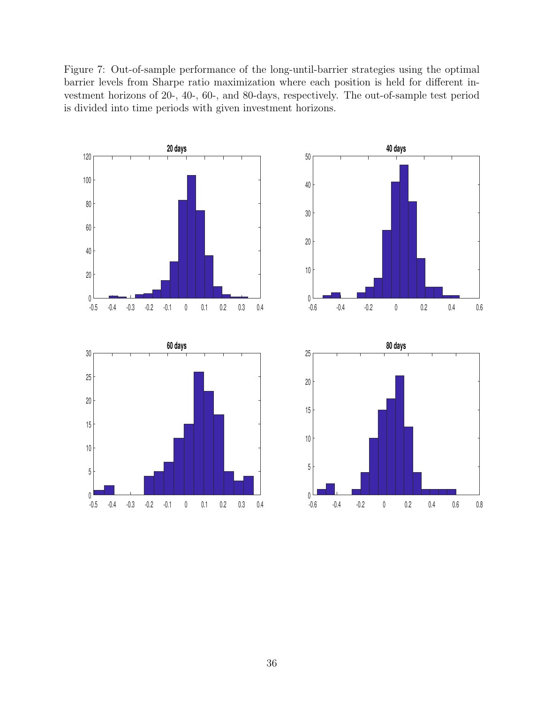<span id="page-36-0"></span>Figure 7: Out-of-sample performance of the long-until-barrier strategies using the optimal barrier levels from Sharpe ratio maximization where each position is held for different investment horizons of 20-, 40-, 60-, and 80-days, respectively. The out-of-sample test period is divided into time periods with given investment horizons.

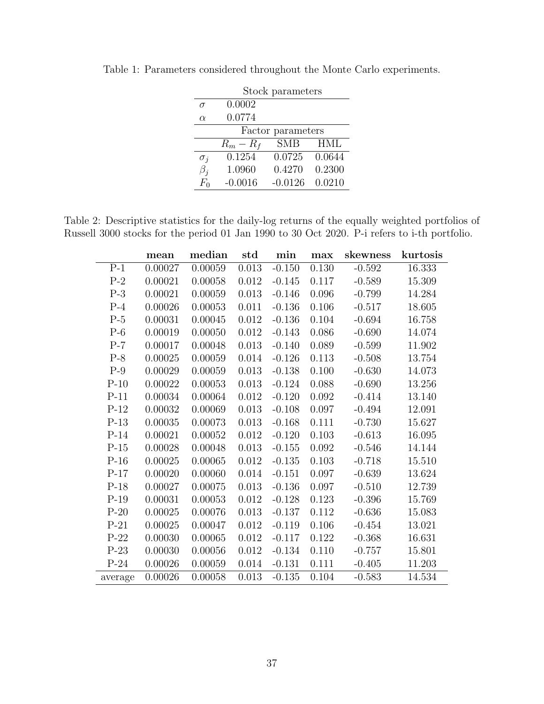|            |             | Stock parameters  |            |
|------------|-------------|-------------------|------------|
| $\sigma$   | 0.0002      |                   |            |
| $\alpha$   | 0.0774      |                   |            |
|            |             | Factor parameters |            |
|            | $R_m - R_f$ | <b>SMB</b>        | <b>HML</b> |
| $\sigma_i$ | 0.1254      | 0.0725            | 0.0644     |
| $\beta_i$  | 1.0960      | 0.4270            | 0.2300     |
| $F_{0}$    | $-0.0016$   | $-0.0126$         | 0.0210     |

<span id="page-37-0"></span>Table 1: Parameters considered throughout the Monte Carlo experiments.

<span id="page-37-1"></span>Table 2: Descriptive statistics for the daily-log returns of the equally weighted portfolios of Russell 3000 stocks for the period 01 Jan 1990 to 30 Oct 2020. P-i refers to i-th portfolio.

|         | mean    | median  | std   | min      | max   | skewness | kurtosis |
|---------|---------|---------|-------|----------|-------|----------|----------|
| $P-1$   | 0.00027 | 0.00059 | 0.013 | $-0.150$ | 0.130 | $-0.592$ | 16.333   |
| $P-2$   | 0.00021 | 0.00058 | 0.012 | $-0.145$ | 0.117 | $-0.589$ | 15.309   |
| $P-3$   | 0.00021 | 0.00059 | 0.013 | $-0.146$ | 0.096 | $-0.799$ | 14.284   |
| $P-4$   | 0.00026 | 0.00053 | 0.011 | $-0.136$ | 0.106 | $-0.517$ | 18.605   |
| $P-5$   | 0.00031 | 0.00045 | 0.012 | $-0.136$ | 0.104 | $-0.694$ | 16.758   |
| $P-6$   | 0.00019 | 0.00050 | 0.012 | $-0.143$ | 0.086 | $-0.690$ | 14.074   |
| $P-7$   | 0.00017 | 0.00048 | 0.013 | $-0.140$ | 0.089 | $-0.599$ | 11.902   |
| $P-8$   | 0.00025 | 0.00059 | 0.014 | $-0.126$ | 0.113 | $-0.508$ | 13.754   |
| $P-9$   | 0.00029 | 0.00059 | 0.013 | $-0.138$ | 0.100 | $-0.630$ | 14.073   |
| $P-10$  | 0.00022 | 0.00053 | 0.013 | $-0.124$ | 0.088 | $-0.690$ | 13.256   |
| $P-11$  | 0.00034 | 0.00064 | 0.012 | $-0.120$ | 0.092 | $-0.414$ | 13.140   |
| $P-12$  | 0.00032 | 0.00069 | 0.013 | $-0.108$ | 0.097 | $-0.494$ | 12.091   |
| $P-13$  | 0.00035 | 0.00073 | 0.013 | $-0.168$ | 0.111 | $-0.730$ | 15.627   |
| $P-14$  | 0.00021 | 0.00052 | 0.012 | $-0.120$ | 0.103 | $-0.613$ | 16.095   |
| $P-15$  | 0.00028 | 0.00048 | 0.013 | $-0.155$ | 0.092 | $-0.546$ | 14.144   |
| $P-16$  | 0.00025 | 0.00065 | 0.012 | $-0.135$ | 0.103 | $-0.718$ | 15.510   |
| $P-17$  | 0.00020 | 0.00060 | 0.014 | $-0.151$ | 0.097 | $-0.639$ | 13.624   |
| $P-18$  | 0.00027 | 0.00075 | 0.013 | $-0.136$ | 0.097 | $-0.510$ | 12.739   |
| $P-19$  | 0.00031 | 0.00053 | 0.012 | $-0.128$ | 0.123 | $-0.396$ | 15.769   |
| $P-20$  | 0.00025 | 0.00076 | 0.013 | $-0.137$ | 0.112 | $-0.636$ | 15.083   |
| $P-21$  | 0.00025 | 0.00047 | 0.012 | $-0.119$ | 0.106 | $-0.454$ | 13.021   |
| $P-22$  | 0.00030 | 0.00065 | 0.012 | $-0.117$ | 0.122 | $-0.368$ | 16.631   |
| $P-23$  | 0.00030 | 0.00056 | 0.012 | $-0.134$ | 0.110 | $-0.757$ | 15.801   |
| $P-24$  | 0.00026 | 0.00059 | 0.014 | $-0.131$ | 0.111 | $-0.405$ | 11.203   |
| average | 0.00026 | 0.00058 | 0.013 | $-0.135$ | 0.104 | $-0.583$ | 14.534   |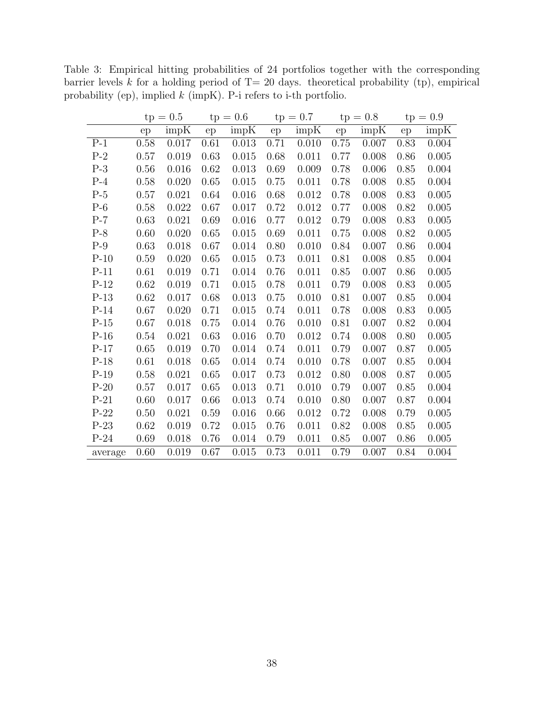|         | $tp = 0.5$ |       |      | $tp = 0.6$ |      | $tp = 0.7$ |      | $tp = 0.8$ | $tp = 0.9$ |       |
|---------|------------|-------|------|------------|------|------------|------|------------|------------|-------|
|         | ep         | impK  | ep   | impK       | ep   | impK       | ep   | impK       | ep         | impK  |
| $P-1$   | 0.58       | 0.017 | 0.61 | 0.013      | 0.71 | 0.010      | 0.75 | 0.007      | 0.83       | 0.004 |
| $P-2$   | 0.57       | 0.019 | 0.63 | 0.015      | 0.68 | 0.011      | 0.77 | 0.008      | 0.86       | 0.005 |
| $P-3$   | 0.56       | 0.016 | 0.62 | 0.013      | 0.69 | 0.009      | 0.78 | 0.006      | 0.85       | 0.004 |
| $P-4$   | 0.58       | 0.020 | 0.65 | 0.015      | 0.75 | 0.011      | 0.78 | 0.008      | 0.85       | 0.004 |
| $P-5$   | 0.57       | 0.021 | 0.64 | 0.016      | 0.68 | 0.012      | 0.78 | 0.008      | 0.83       | 0.005 |
| $P-6$   | 0.58       | 0.022 | 0.67 | 0.017      | 0.72 | 0.012      | 0.77 | 0.008      | 0.82       | 0.005 |
| $P-7$   | 0.63       | 0.021 | 0.69 | 0.016      | 0.77 | 0.012      | 0.79 | 0.008      | 0.83       | 0.005 |
| $P-8$   | 0.60       | 0.020 | 0.65 | 0.015      | 0.69 | 0.011      | 0.75 | 0.008      | 0.82       | 0.005 |
| $P-9$   | 0.63       | 0.018 | 0.67 | 0.014      | 0.80 | 0.010      | 0.84 | 0.007      | 0.86       | 0.004 |
| $P-10$  | 0.59       | 0.020 | 0.65 | 0.015      | 0.73 | 0.011      | 0.81 | 0.008      | 0.85       | 0.004 |
| $P-11$  | 0.61       | 0.019 | 0.71 | 0.014      | 0.76 | 0.011      | 0.85 | 0.007      | 0.86       | 0.005 |
| $P-12$  | 0.62       | 0.019 | 0.71 | 0.015      | 0.78 | 0.011      | 0.79 | 0.008      | 0.83       | 0.005 |
| $P-13$  | 0.62       | 0.017 | 0.68 | 0.013      | 0.75 | 0.010      | 0.81 | 0.007      | 0.85       | 0.004 |
| $P-14$  | 0.67       | 0.020 | 0.71 | 0.015      | 0.74 | 0.011      | 0.78 | 0.008      | 0.83       | 0.005 |
| $P-15$  | 0.67       | 0.018 | 0.75 | 0.014      | 0.76 | 0.010      | 0.81 | 0.007      | 0.82       | 0.004 |
| $P-16$  | 0.54       | 0.021 | 0.63 | 0.016      | 0.70 | 0.012      | 0.74 | 0.008      | 0.80       | 0.005 |
| $P-17$  | 0.65       | 0.019 | 0.70 | 0.014      | 0.74 | 0.011      | 0.79 | 0.007      | 0.87       | 0.005 |
| $P-18$  | 0.61       | 0.018 | 0.65 | 0.014      | 0.74 | 0.010      | 0.78 | 0.007      | 0.85       | 0.004 |
| $P-19$  | 0.58       | 0.021 | 0.65 | 0.017      | 0.73 | 0.012      | 0.80 | 0.008      | 0.87       | 0.005 |
| $P-20$  | 0.57       | 0.017 | 0.65 | 0.013      | 0.71 | 0.010      | 0.79 | 0.007      | 0.85       | 0.004 |
| $P-21$  | 0.60       | 0.017 | 0.66 | 0.013      | 0.74 | 0.010      | 0.80 | 0.007      | 0.87       | 0.004 |
| $P-22$  | 0.50       | 0.021 | 0.59 | 0.016      | 0.66 | 0.012      | 0.72 | 0.008      | 0.79       | 0.005 |
| $P-23$  | 0.62       | 0.019 | 0.72 | 0.015      | 0.76 | 0.011      | 0.82 | 0.008      | 0.85       | 0.005 |
| $P-24$  | 0.69       | 0.018 | 0.76 | 0.014      | 0.79 | 0.011      | 0.85 | 0.007      | 0.86       | 0.005 |
| average | 0.60       | 0.019 | 0.67 | 0.015      | 0.73 | 0.011      | 0.79 | 0.007      | 0.84       | 0.004 |

<span id="page-38-0"></span>Table 3: Empirical hitting probabilities of 24 portfolios together with the corresponding barrier levels  $k$  for a holding period of T= 20 days. theoretical probability (tp), empirical probability (ep), implied k (impK). P-i refers to i-th portfolio.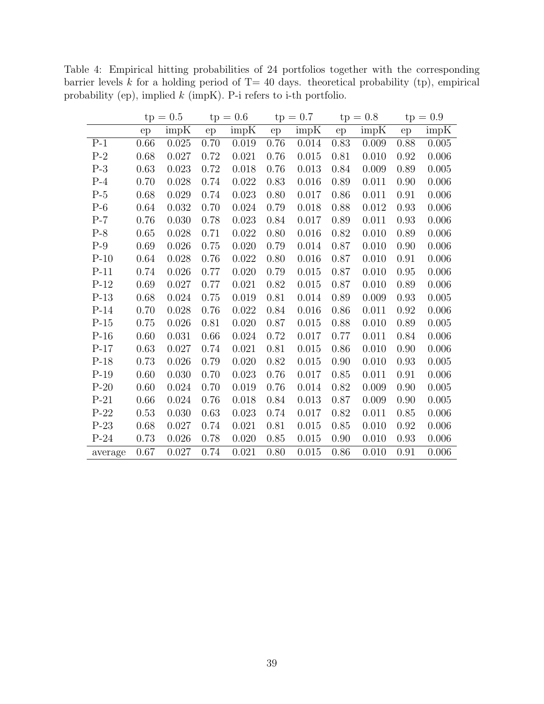|         | $tp = 0.5$ |       |      | $tp = 0.6$ |      | $tp = 0.7$ |          | $tp = 0.8$ | $tp = 0.9$ |       |
|---------|------------|-------|------|------------|------|------------|----------|------------|------------|-------|
|         | ep         | impK  | ep   | impK       | ep   | impK       | ep       | impK       | ep         | impK  |
| $P-1$   | 0.66       | 0.025 | 0.70 | 0.019      | 0.76 | 0.014      | 0.83     | 0.009      | 0.88       | 0.005 |
| $P-2$   | 0.68       | 0.027 | 0.72 | 0.021      | 0.76 | 0.015      | 0.81     | 0.010      | 0.92       | 0.006 |
| $P-3$   | 0.63       | 0.023 | 0.72 | 0.018      | 0.76 | 0.013      | 0.84     | 0.009      | 0.89       | 0.005 |
| $P-4$   | 0.70       | 0.028 | 0.74 | 0.022      | 0.83 | 0.016      | 0.89     | 0.011      | 0.90       | 0.006 |
| $P-5$   | 0.68       | 0.029 | 0.74 | 0.023      | 0.80 | 0.017      | 0.86     | 0.011      | 0.91       | 0.006 |
| $P-6$   | 0.64       | 0.032 | 0.70 | 0.024      | 0.79 | 0.018      | 0.88     | 0.012      | 0.93       | 0.006 |
| $P-7$   | 0.76       | 0.030 | 0.78 | 0.023      | 0.84 | 0.017      | 0.89     | 0.011      | 0.93       | 0.006 |
| $P-8$   | 0.65       | 0.028 | 0.71 | 0.022      | 0.80 | 0.016      | 0.82     | 0.010      | 0.89       | 0.006 |
| $P-9$   | 0.69       | 0.026 | 0.75 | 0.020      | 0.79 | 0.014      | 0.87     | 0.010      | 0.90       | 0.006 |
| $P-10$  | 0.64       | 0.028 | 0.76 | 0.022      | 0.80 | 0.016      | 0.87     | 0.010      | 0.91       | 0.006 |
| $P-11$  | 0.74       | 0.026 | 0.77 | 0.020      | 0.79 | 0.015      | 0.87     | 0.010      | 0.95       | 0.006 |
| $P-12$  | 0.69       | 0.027 | 0.77 | 0.021      | 0.82 | 0.015      | 0.87     | 0.010      | 0.89       | 0.006 |
| $P-13$  | 0.68       | 0.024 | 0.75 | 0.019      | 0.81 | 0.014      | 0.89     | 0.009      | 0.93       | 0.005 |
| $P-14$  | 0.70       | 0.028 | 0.76 | 0.022      | 0.84 | 0.016      | 0.86     | 0.011      | 0.92       | 0.006 |
| $P-15$  | 0.75       | 0.026 | 0.81 | 0.020      | 0.87 | 0.015      | 0.88     | 0.010      | 0.89       | 0.005 |
| $P-16$  | 0.60       | 0.031 | 0.66 | 0.024      | 0.72 | 0.017      | 0.77     | 0.011      | 0.84       | 0.006 |
| $P-17$  | 0.63       | 0.027 | 0.74 | 0.021      | 0.81 | 0.015      | 0.86     | 0.010      | 0.90       | 0.006 |
| $P-18$  | 0.73       | 0.026 | 0.79 | 0.020      | 0.82 | 0.015      | 0.90     | 0.010      | 0.93       | 0.005 |
| $P-19$  | 0.60       | 0.030 | 0.70 | 0.023      | 0.76 | 0.017      | 0.85     | 0.011      | 0.91       | 0.006 |
| $P-20$  | 0.60       | 0.024 | 0.70 | 0.019      | 0.76 | 0.014      | $0.82\,$ | 0.009      | 0.90       | 0.005 |
| $P-21$  | 0.66       | 0.024 | 0.76 | 0.018      | 0.84 | 0.013      | 0.87     | 0.009      | 0.90       | 0.005 |
| $P-22$  | 0.53       | 0.030 | 0.63 | 0.023      | 0.74 | 0.017      | 0.82     | 0.011      | 0.85       | 0.006 |
| $P-23$  | 0.68       | 0.027 | 0.74 | 0.021      | 0.81 | 0.015      | 0.85     | 0.010      | 0.92       | 0.006 |
| $P-24$  | 0.73       | 0.026 | 0.78 | 0.020      | 0.85 | 0.015      | 0.90     | 0.010      | 0.93       | 0.006 |
| average | 0.67       | 0.027 | 0.74 | 0.021      | 0.80 | 0.015      | 0.86     | 0.010      | 0.91       | 0.006 |

<span id="page-39-0"></span>Table 4: Empirical hitting probabilities of 24 portfolios together with the corresponding barrier levels k for a holding period of  $T= 40$  days. theoretical probability (tp), empirical probability (ep), implied k (impK). P-i refers to i-th portfolio.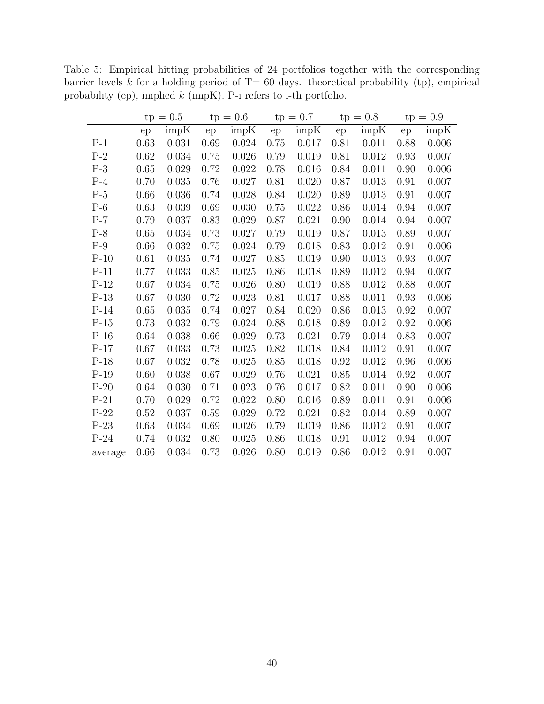|         | $tp = 0.5$ |       |          | $tp = 0.6$ |      | $tp = 0.7$ |      | $tp = 0.8$ | $tp = 0.9$ |       |  |
|---------|------------|-------|----------|------------|------|------------|------|------------|------------|-------|--|
|         | ep         | impK  | ep       | impK       | ep   | impK       | ep   | impK       | ep         | impK  |  |
| $P-1$   | 0.63       | 0.031 | 0.69     | 0.024      | 0.75 | $0.017\,$  | 0.81 | 0.011      | 0.88       | 0.006 |  |
| $P-2$   | 0.62       | 0.034 | 0.75     | 0.026      | 0.79 | 0.019      | 0.81 | 0.012      | 0.93       | 0.007 |  |
| $P-3$   | 0.65       | 0.029 | 0.72     | 0.022      | 0.78 | 0.016      | 0.84 | 0.011      | 0.90       | 0.006 |  |
| $P-4$   | 0.70       | 0.035 | 0.76     | 0.027      | 0.81 | 0.020      | 0.87 | 0.013      | 0.91       | 0.007 |  |
| $P-5$   | 0.66       | 0.036 | 0.74     | 0.028      | 0.84 | 0.020      | 0.89 | 0.013      | 0.91       | 0.007 |  |
| $P-6$   | 0.63       | 0.039 | 0.69     | 0.030      | 0.75 | 0.022      | 0.86 | 0.014      | 0.94       | 0.007 |  |
| $P-7$   | 0.79       | 0.037 | 0.83     | 0.029      | 0.87 | 0.021      | 0.90 | 0.014      | 0.94       | 0.007 |  |
| $P-8$   | 0.65       | 0.034 | 0.73     | 0.027      | 0.79 | 0.019      | 0.87 | 0.013      | 0.89       | 0.007 |  |
| $P-9$   | 0.66       | 0.032 | $0.75\,$ | 0.024      | 0.79 | 0.018      | 0.83 | 0.012      | 0.91       | 0.006 |  |
| $P-10$  | 0.61       | 0.035 | 0.74     | 0.027      | 0.85 | 0.019      | 0.90 | 0.013      | 0.93       | 0.007 |  |
| $P-11$  | 0.77       | 0.033 | 0.85     | 0.025      | 0.86 | 0.018      | 0.89 | 0.012      | 0.94       | 0.007 |  |
| $P-12$  | 0.67       | 0.034 | 0.75     | 0.026      | 0.80 | 0.019      | 0.88 | 0.012      | 0.88       | 0.007 |  |
| $P-13$  | 0.67       | 0.030 | 0.72     | 0.023      | 0.81 | 0.017      | 0.88 | 0.011      | 0.93       | 0.006 |  |
| $P-14$  | 0.65       | 0.035 | 0.74     | 0.027      | 0.84 | 0.020      | 0.86 | 0.013      | 0.92       | 0.007 |  |
| $P-15$  | 0.73       | 0.032 | 0.79     | 0.024      | 0.88 | 0.018      | 0.89 | 0.012      | 0.92       | 0.006 |  |
| $P-16$  | 0.64       | 0.038 | 0.66     | 0.029      | 0.73 | 0.021      | 0.79 | 0.014      | 0.83       | 0.007 |  |
| $P-17$  | 0.67       | 0.033 | 0.73     | 0.025      | 0.82 | 0.018      | 0.84 | 0.012      | 0.91       | 0.007 |  |
| $P-18$  | 0.67       | 0.032 | 0.78     | 0.025      | 0.85 | 0.018      | 0.92 | 0.012      | 0.96       | 0.006 |  |
| $P-19$  | 0.60       | 0.038 | 0.67     | 0.029      | 0.76 | 0.021      | 0.85 | 0.014      | 0.92       | 0.007 |  |
| $P-20$  | 0.64       | 0.030 | 0.71     | 0.023      | 0.76 | 0.017      | 0.82 | 0.011      | 0.90       | 0.006 |  |
| $P-21$  | 0.70       | 0.029 | 0.72     | 0.022      | 0.80 | 0.016      | 0.89 | 0.011      | 0.91       | 0.006 |  |
| $P-22$  | 0.52       | 0.037 | 0.59     | 0.029      | 0.72 | 0.021      | 0.82 | 0.014      | 0.89       | 0.007 |  |
| $P-23$  | 0.63       | 0.034 | 0.69     | 0.026      | 0.79 | 0.019      | 0.86 | 0.012      | 0.91       | 0.007 |  |
| $P-24$  | 0.74       | 0.032 | 0.80     | 0.025      | 0.86 | 0.018      | 0.91 | 0.012      | 0.94       | 0.007 |  |
| average | 0.66       | 0.034 | 0.73     | 0.026      | 0.80 | 0.019      | 0.86 | 0.012      | 0.91       | 0.007 |  |

<span id="page-40-0"></span>Table 5: Empirical hitting probabilities of 24 portfolios together with the corresponding barrier levels k for a holding period of  $T= 60$  days. theoretical probability (tp), empirical probability (ep), implied k (impK). P-i refers to i-th portfolio.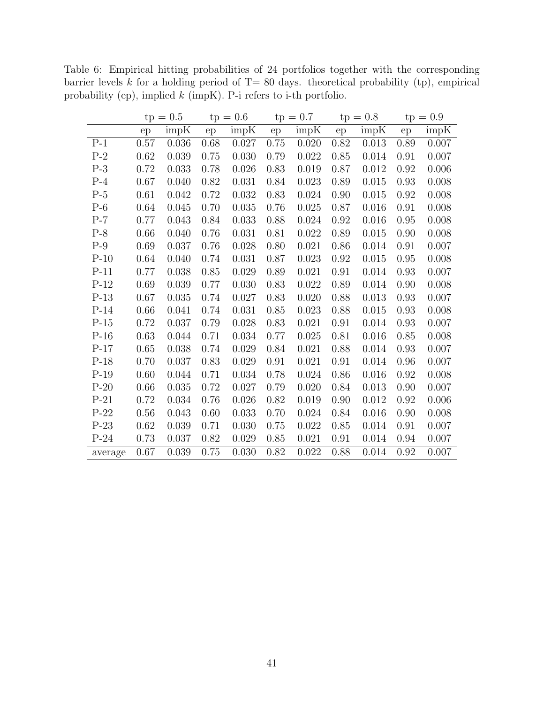|         | $tp = 0.5$ |       |      | $tp = 0.6$ |      | $tp = 0.7$ |      | $tp = 0.8$ | $tp = 0.9$ |       |
|---------|------------|-------|------|------------|------|------------|------|------------|------------|-------|
|         | ep         | impK  | ep   | impK       | ep   | impK       | ep   | impK       | ep         | impK  |
| $P-1$   | 0.57       | 0.036 | 0.68 | 0.027      | 0.75 | 0.020      | 0.82 | 0.013      | 0.89       | 0.007 |
| $P-2$   | 0.62       | 0.039 | 0.75 | 0.030      | 0.79 | 0.022      | 0.85 | 0.014      | 0.91       | 0.007 |
| $P-3$   | 0.72       | 0.033 | 0.78 | 0.026      | 0.83 | 0.019      | 0.87 | 0.012      | 0.92       | 0.006 |
| $P-4$   | 0.67       | 0.040 | 0.82 | 0.031      | 0.84 | 0.023      | 0.89 | 0.015      | 0.93       | 0.008 |
| $P-5$   | 0.61       | 0.042 | 0.72 | 0.032      | 0.83 | 0.024      | 0.90 | 0.015      | 0.92       | 0.008 |
| $P-6$   | 0.64       | 0.045 | 0.70 | 0.035      | 0.76 | 0.025      | 0.87 | 0.016      | 0.91       | 0.008 |
| $P-7$   | 0.77       | 0.043 | 0.84 | 0.033      | 0.88 | 0.024      | 0.92 | 0.016      | 0.95       | 0.008 |
| $P-8$   | 0.66       | 0.040 | 0.76 | 0.031      | 0.81 | 0.022      | 0.89 | 0.015      | 0.90       | 0.008 |
| $P-9$   | 0.69       | 0.037 | 0.76 | 0.028      | 0.80 | 0.021      | 0.86 | 0.014      | 0.91       | 0.007 |
| $P-10$  | 0.64       | 0.040 | 0.74 | 0.031      | 0.87 | 0.023      | 0.92 | 0.015      | 0.95       | 0.008 |
| $P-11$  | 0.77       | 0.038 | 0.85 | 0.029      | 0.89 | 0.021      | 0.91 | 0.014      | 0.93       | 0.007 |
| $P-12$  | 0.69       | 0.039 | 0.77 | 0.030      | 0.83 | 0.022      | 0.89 | 0.014      | 0.90       | 0.008 |
| $P-13$  | 0.67       | 0.035 | 0.74 | 0.027      | 0.83 | 0.020      | 0.88 | 0.013      | 0.93       | 0.007 |
| $P-14$  | 0.66       | 0.041 | 0.74 | 0.031      | 0.85 | 0.023      | 0.88 | 0.015      | 0.93       | 0.008 |
| $P-15$  | 0.72       | 0.037 | 0.79 | 0.028      | 0.83 | 0.021      | 0.91 | 0.014      | 0.93       | 0.007 |
| $P-16$  | 0.63       | 0.044 | 0.71 | 0.034      | 0.77 | 0.025      | 0.81 | 0.016      | 0.85       | 0.008 |
| $P-17$  | 0.65       | 0.038 | 0.74 | 0.029      | 0.84 | 0.021      | 0.88 | 0.014      | 0.93       | 0.007 |
| $P-18$  | 0.70       | 0.037 | 0.83 | 0.029      | 0.91 | 0.021      | 0.91 | 0.014      | 0.96       | 0.007 |
| $P-19$  | 0.60       | 0.044 | 0.71 | 0.034      | 0.78 | 0.024      | 0.86 | 0.016      | 0.92       | 0.008 |
| $P-20$  | 0.66       | 0.035 | 0.72 | 0.027      | 0.79 | 0.020      | 0.84 | 0.013      | 0.90       | 0.007 |
| $P-21$  | 0.72       | 0.034 | 0.76 | 0.026      | 0.82 | 0.019      | 0.90 | 0.012      | 0.92       | 0.006 |
| $P-22$  | 0.56       | 0.043 | 0.60 | 0.033      | 0.70 | 0.024      | 0.84 | 0.016      | 0.90       | 0.008 |
| $P-23$  | 0.62       | 0.039 | 0.71 | 0.030      | 0.75 | 0.022      | 0.85 | 0.014      | 0.91       | 0.007 |
| $P-24$  | 0.73       | 0.037 | 0.82 | 0.029      | 0.85 | 0.021      | 0.91 | 0.014      | 0.94       | 0.007 |
| average | 0.67       | 0.039 | 0.75 | 0.030      | 0.82 | 0.022      | 0.88 | 0.014      | 0.92       | 0.007 |

<span id="page-41-0"></span>Table 6: Empirical hitting probabilities of 24 portfolios together with the corresponding barrier levels  $k$  for a holding period of T= 80 days. theoretical probability (tp), empirical probability (ep), implied k (impK). P-i refers to i-th portfolio.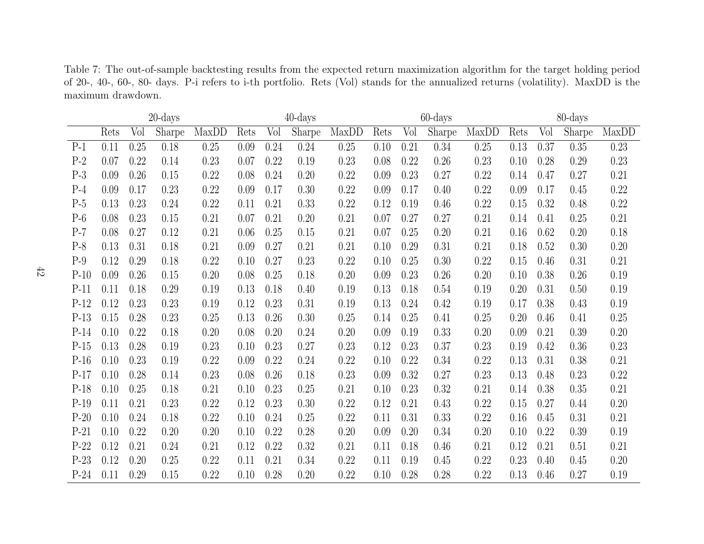<span id="page-42-0"></span>Table 7: The out-of-sample backtesting results from the expected return maximization algorithm for the target holding period of 20-, 40-, 60-, 80- days. P-i refers to i-th portfolio. Rets (Vol) stands for the annualized returns (volatility). MaxDD is the maximum drawdown.

|        | $20$ -days |      |        |       | $40$ -days |      |        |       | $60$ -days |      |        |       | 80-days |      |        |       |
|--------|------------|------|--------|-------|------------|------|--------|-------|------------|------|--------|-------|---------|------|--------|-------|
|        | Rets       | Vol  | Sharpe | MaxDD | Rets       | Vol  | Sharpe | MaxDD | Rets       | Vol  | Sharpe | MaxDD | Rets    | Vol  | Sharpe | MaxDD |
| $P-1$  | 0.11       | 0.25 | 0.18   | 0.25  | 0.09       | 0.24 | 0.24   | 0.25  | 0.10       | 0.21 | 0.34   | 0.25  | 0.13    | 0.37 | 0.35   | 0.23  |
| $P-2$  | 0.07       | 0.22 | 0.14   | 0.23  | 0.07       | 0.22 | 0.19   | 0.23  | 0.08       | 0.22 | 0.26   | 0.23  | 0.10    | 0.28 | 0.29   | 0.23  |
| $P-3$  | 0.09       | 0.26 | 0.15   | 0.22  | 0.08       | 0.24 | 0.20   | 0.22  | 0.09       | 0.23 | 0.27   | 0.22  | 0.14    | 0.47 | 0.27   | 0.21  |
| $P-4$  | 0.09       | 0.17 | 0.23   | 0.22  | 0.09       | 0.17 | 0.30   | 0.22  | 0.09       | 0.17 | 0.40   | 0.22  | 0.09    | 0.17 | 0.45   | 0.22  |
| $P-5$  | 0.13       | 0.23 | 0.24   | 0.22  | 0.11       | 0.21 | 0.33   | 0.22  | 0.12       | 0.19 | 0.46   | 0.22  | 0.15    | 0.32 | 0.48   | 0.22  |
| $P-6$  | 0.08       | 0.23 | 0.15   | 0.21  | 0.07       | 0.21 | 0.20   | 0.21  | 0.07       | 0.27 | 0.27   | 0.21  | 0.14    | 0.41 | 0.25   | 0.21  |
| $P-7$  | 0.08       | 0.27 | 0.12   | 0.21  | 0.06       | 0.25 | 0.15   | 0.21  | 0.07       | 0.25 | 0.20   | 0.21  | 0.16    | 0.62 | 0.20   | 0.18  |
| $P-8$  | 0.13       | 0.31 | 0.18   | 0.21  | 0.09       | 0.27 | 0.21   | 0.21  | 0.10       | 0.29 | 0.31   | 0.21  | 0.18    | 0.52 | 0.30   | 0.20  |
| $P-9$  | 0.12       | 0.29 | 0.18   | 0.22  | 0.10       | 0.27 | 0.23   | 0.22  | 0.10       | 0.25 | 0.30   | 0.22  | 0.15    | 0.46 | 0.31   | 0.21  |
| $P-10$ | 0.09       | 0.26 | 0.15   | 0.20  | 0.08       | 0.25 | 0.18   | 0.20  | 0.09       | 0.23 | 0.26   | 0.20  | 0.10    | 0.38 | 0.26   | 0.19  |
| $P-11$ | 0.11       | 0.18 | 0.29   | 0.19  | 0.13       | 0.18 | 0.40   | 0.19  | 0.13       | 0.18 | 0.54   | 0.19  | 0.20    | 0.31 | 0.50   | 0.19  |
| $P-12$ | 0.12       | 0.23 | 0.23   | 0.19  | 0.12       | 0.23 | 0.31   | 0.19  | 0.13       | 0.24 | 0.42   | 0.19  | 0.17    | 0.38 | 0.43   | 0.19  |
| $P-13$ | 0.15       | 0.28 | 0.23   | 0.25  | 0.13       | 0.26 | 0.30   | 0.25  | 0.14       | 0.25 | 0.41   | 0.25  | 0.20    | 0.46 | 0.41   | 0.25  |
| $P-14$ | 0.10       | 0.22 | 0.18   | 0.20  | 0.08       | 0.20 | 0.24   | 0.20  | 0.09       | 0.19 | 0.33   | 0.20  | 0.09    | 0.21 | 0.39   | 0.20  |
| $P-15$ | 0.13       | 0.28 | 0.19   | 0.23  | 0.10       | 0.23 | 0.27   | 0.23  | 0.12       | 0.23 | 0.37   | 0.23  | 0.19    | 0.42 | 0.36   | 0.23  |
| $P-16$ | 0.10       | 0.23 | 0.19   | 0.22  | 0.09       | 0.22 | 0.24   | 0.22  | 0.10       | 0.22 | 0.34   | 0.22  | 0.13    | 0.31 | 0.38   | 0.21  |
| $P-17$ | 0.10       | 0.28 | 0.14   | 0.23  | 0.08       | 0.26 | 0.18   | 0.23  | 0.09       | 0.32 | 0.27   | 0.23  | 0.13    | 0.48 | 0.23   | 0.22  |
| $P-18$ | 0.10       | 0.25 | 0.18   | 0.21  | 0.10       | 0.23 | 0.25   | 0.21  | 0.10       | 0.23 | 0.32   | 0.21  | 0.14    | 0.38 | 0.35   | 0.21  |
| $P-19$ | 0.11       | 0.21 | 0.23   | 0.22  | 0.12       | 0.23 | 0.30   | 0.22  | 0.12       | 0.21 | 0.43   | 0.22  | 0.15    | 0.27 | 0.44   | 0.20  |
| $P-20$ | 0.10       | 0.24 | 0.18   | 0.22  | 0.10       | 0.24 | 0.25   | 0.22  | 0.11       | 0.31 | 0.33   | 0.22  | 0.16    | 0.45 | 0.31   | 0.21  |
| $P-21$ | 0.10       | 0.22 | 0.20   | 0.20  | 0.10       | 0.22 | 0.28   | 0.20  | 0.09       | 0.20 | 0.34   | 0.20  | 0.10    | 0.22 | 0.39   | 0.19  |
| $P-22$ | 0.12       | 0.21 | 0.24   | 0.21  | 0.12       | 0.22 | 0.32   | 0.21  | 0.11       | 0.18 | 0.46   | 0.21  | 0.12    | 0.21 | 0.51   | 0.21  |
| $P-23$ | 0.12       | 0.20 | 0.25   | 0.22  | 0.11       | 0.21 | 0.34   | 0.22  | 0.11       | 0.19 | 0.45   | 0.22  | 0.23    | 0.40 | 0.45   | 0.20  |
| $P-24$ | 0.11       | 0.29 | 0.15   | 0.22  | 0.10       | 0.28 | 0.20   | 0.22  | 0.10       | 0.28 | 0.28   | 0.22  | 0.13    | 0.46 | 0.27   | 0.19  |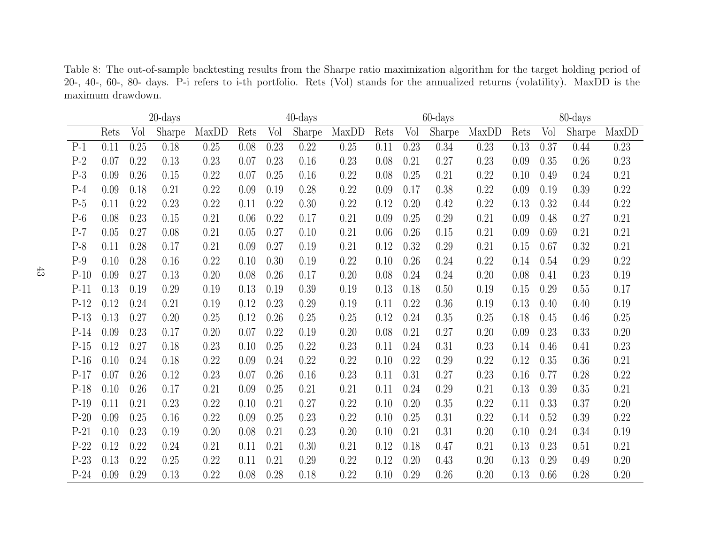Table 8: The out-of-sample backtesting results from the Sharpe ratio maximization algorithm for the target holding period of 20-, 40-, 60-, 80- days. P-i refers to i-th portfolio. Rets (Vol) stands for the annualized returns (volatility). MaxDD is the maximum drawdown.

<span id="page-43-0"></span>

|        | $20$ -days |      |        |       | $40$ -days |      |        |       | $60$ -days |      |        |          | 80-days |      |        |       |
|--------|------------|------|--------|-------|------------|------|--------|-------|------------|------|--------|----------|---------|------|--------|-------|
|        | Rets       | Vol  | Sharpe | MaxDD | Rets       | Vol  | Sharpe | MaxDD | Rets       | Vol  | Sharpe | MaxDD    | Rets    | Vol  | Sharpe | MaxDD |
| $P-1$  | 0.11       | 0.25 | 0.18   | 0.25  | 0.08       | 0.23 | 0.22   | 0.25  | 0.11       | 0.23 | 0.34   | 0.23     | 0.13    | 0.37 | 0.44   | 0.23  |
| $P-2$  | 0.07       | 0.22 | 0.13   | 0.23  | 0.07       | 0.23 | 0.16   | 0.23  | 0.08       | 0.21 | 0.27   | 0.23     | 0.09    | 0.35 | 0.26   | 0.23  |
| $P-3$  | 0.09       | 0.26 | 0.15   | 0.22  | 0.07       | 0.25 | 0.16   | 0.22  | 0.08       | 0.25 | 0.21   | 0.22     | 0.10    | 0.49 | 0.24   | 0.21  |
| $P-4$  | 0.09       | 0.18 | 0.21   | 0.22  | 0.09       | 0.19 | 0.28   | 0.22  | 0.09       | 0.17 | 0.38   | 0.22     | 0.09    | 0.19 | 0.39   | 0.22  |
| $P-5$  | 0.11       | 0.22 | 0.23   | 0.22  | 0.11       | 0.22 | 0.30   | 0.22  | 0.12       | 0.20 | 0.42   | 0.22     | 0.13    | 0.32 | 0.44   | 0.22  |
| $P-6$  | 0.08       | 0.23 | 0.15   | 0.21  | 0.06       | 0.22 | 0.17   | 0.21  | 0.09       | 0.25 | 0.29   | 0.21     | 0.09    | 0.48 | 0.27   | 0.21  |
| $P-7$  | 0.05       | 0.27 | 0.08   | 0.21  | 0.05       | 0.27 | 0.10   | 0.21  | 0.06       | 0.26 | 0.15   | 0.21     | 0.09    | 0.69 | 0.21   | 0.21  |
| $P-8$  | 0.11       | 0.28 | 0.17   | 0.21  | 0.09       | 0.27 | 0.19   | 0.21  | 0.12       | 0.32 | 0.29   | 0.21     | 0.15    | 0.67 | 0.32   | 0.21  |
| $P-9$  | 0.10       | 0.28 | 0.16   | 0.22  | 0.10       | 0.30 | 0.19   | 0.22  | 0.10       | 0.26 | 0.24   | 0.22     | 0.14    | 0.54 | 0.29   | 0.22  |
| $P-10$ | 0.09       | 0.27 | 0.13   | 0.20  | 0.08       | 0.26 | 0.17   | 0.20  | 0.08       | 0.24 | 0.24   | $0.20\,$ | 0.08    | 0.41 | 0.23   | 0.19  |
| $P-11$ | 0.13       | 0.19 | 0.29   | 0.19  | 0.13       | 0.19 | 0.39   | 0.19  | 0.13       | 0.18 | 0.50   | 0.19     | 0.15    | 0.29 | 0.55   | 0.17  |
| $P-12$ | 0.12       | 0.24 | 0.21   | 0.19  | 0.12       | 0.23 | 0.29   | 0.19  | 0.11       | 0.22 | 0.36   | 0.19     | 0.13    | 0.40 | 0.40   | 0.19  |
| $P-13$ | 0.13       | 0.27 | 0.20   | 0.25  | 0.12       | 0.26 | 0.25   | 0.25  | 0.12       | 0.24 | 0.35   | 0.25     | 0.18    | 0.45 | 0.46   | 0.25  |
| $P-14$ | 0.09       | 0.23 | 0.17   | 0.20  | 0.07       | 0.22 | 0.19   | 0.20  | 0.08       | 0.21 | 0.27   | 0.20     | 0.09    | 0.23 | 0.33   | 0.20  |
| $P-15$ | 0.12       | 0.27 | 0.18   | 0.23  | 0.10       | 0.25 | 0.22   | 0.23  | 0.11       | 0.24 | 0.31   | 0.23     | 0.14    | 0.46 | 0.41   | 0.23  |
| $P-16$ | 0.10       | 0.24 | 0.18   | 0.22  | 0.09       | 0.24 | 0.22   | 0.22  | 0.10       | 0.22 | 0.29   | 0.22     | 0.12    | 0.35 | 0.36   | 0.21  |
| $P-17$ | 0.07       | 0.26 | 0.12   | 0.23  | 0.07       | 0.26 | 0.16   | 0.23  | 0.11       | 0.31 | 0.27   | 0.23     | 0.16    | 0.77 | 0.28   | 0.22  |
| $P-18$ | 0.10       | 0.26 | 0.17   | 0.21  | 0.09       | 0.25 | 0.21   | 0.21  | 0.11       | 0.24 | 0.29   | 0.21     | 0.13    | 0.39 | 0.35   | 0.21  |
| $P-19$ | 0.11       | 0.21 | 0.23   | 0.22  | 0.10       | 0.21 | 0.27   | 0.22  | 0.10       | 0.20 | 0.35   | 0.22     | 0.11    | 0.33 | 0.37   | 0.20  |
| $P-20$ | 0.09       | 0.25 | 0.16   | 0.22  | 0.09       | 0.25 | 0.23   | 0.22  | 0.10       | 0.25 | 0.31   | 0.22     | 0.14    | 0.52 | 0.39   | 0.22  |
| $P-21$ | 0.10       | 0.23 | 0.19   | 0.20  | 0.08       | 0.21 | 0.23   | 0.20  | 0.10       | 0.21 | 0.31   | 0.20     | 0.10    | 0.24 | 0.34   | 0.19  |
| $P-22$ | 0.12       | 0.22 | 0.24   | 0.21  | 0.11       | 0.21 | 0.30   | 0.21  | 0.12       | 0.18 | 0.47   | 0.21     | 0.13    | 0.23 | 0.51   | 0.21  |
| $P-23$ | 0.13       | 0.22 | 0.25   | 0.22  | 0.11       | 0.21 | 0.29   | 0.22  | 0.12       | 0.20 | 0.43   | 0.20     | 0.13    | 0.29 | 0.49   | 0.20  |
| $P-24$ | 0.09       | 0.29 | 0.13   | 0.22  | 0.08       | 0.28 | 0.18   | 0.22  | 0.10       | 0.29 | 0.26   | 0.20     | 0.13    | 0.66 | 0.28   | 0.20  |